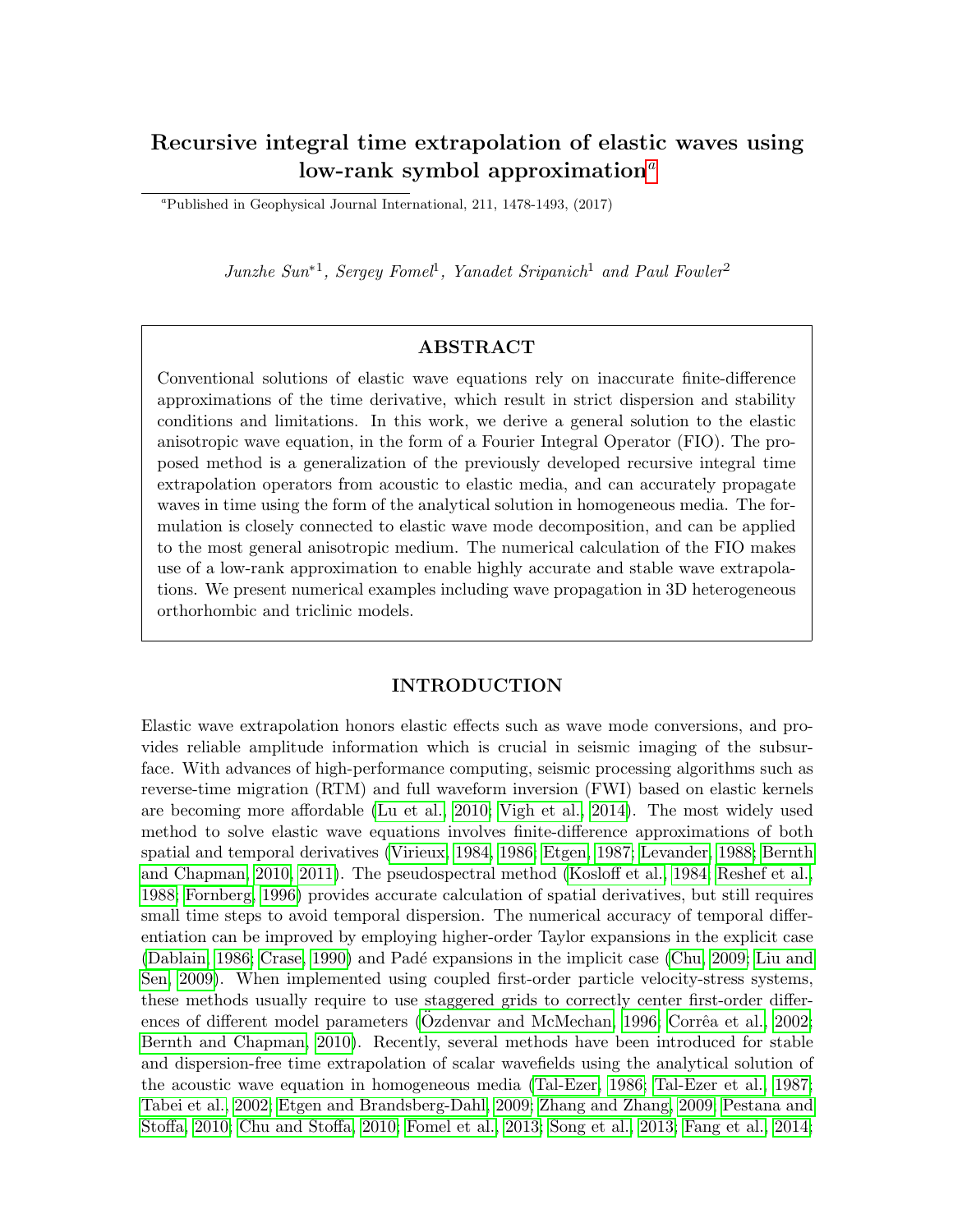# Recursive integral time extrapolation of elastic waves using low-r[a](#page-0-0)nk symbol approximation<sup> $\alpha$ </sup>

<span id="page-0-0"></span><sup>a</sup>Published in Geophysical Journal International, 211, 1478-1493, (2017)

 $Junzhe Sun<sup>*1</sup>, Sergey Fomel<sup>1</sup>, Yanadet Sripanich<sup>1</sup> and Paul Fouler<sup>2</sup>$ 

# ABSTRACT

Conventional solutions of elastic wave equations rely on inaccurate finite-difference approximations of the time derivative, which result in strict dispersion and stability conditions and limitations. In this work, we derive a general solution to the elastic anisotropic wave equation, in the form of a Fourier Integral Operator (FIO). The proposed method is a generalization of the previously developed recursive integral time extrapolation operators from acoustic to elastic media, and can accurately propagate waves in time using the form of the analytical solution in homogeneous media. The formulation is closely connected to elastic wave mode decomposition, and can be applied to the most general anisotropic medium. The numerical calculation of the FIO makes use of a low-rank approximation to enable highly accurate and stable wave extrapolations. We present numerical examples including wave propagation in 3D heterogeneous orthorhombic and triclinic models.

# INTRODUCTION

Elastic wave extrapolation honors elastic effects such as wave mode conversions, and provides reliable amplitude information which is crucial in seismic imaging of the subsurface. With advances of high-performance computing, seismic processing algorithms such as reverse-time migration (RTM) and full waveform inversion (FWI) based on elastic kernels are becoming more affordable [\(Lu et al., 2010;](#page-20-0) [Vigh et al., 2014\)](#page-21-0). The most widely used method to solve elastic wave equations involves finite-difference approximations of both spatial and temporal derivatives [\(Virieux, 1984,](#page-21-1) [1986;](#page-21-2) [Etgen, 1987;](#page-20-1) [Levander, 1988;](#page-20-2) [Bernth](#page-19-0) [and Chapman, 2010,](#page-19-0) [2011\)](#page-19-1). The pseudospectral method [\(Kosloff et al., 1984;](#page-20-3) [Reshef et al.,](#page-21-3) [1988;](#page-21-3) [Fornberg, 1996\)](#page-20-4) provides accurate calculation of spatial derivatives, but still requires small time steps to avoid temporal dispersion. The numerical accuracy of temporal differentiation can be improved by employing higher-order Taylor expansions in the explicit case [\(Dablain, 1986;](#page-20-5) [Crase, 1990\)](#page-19-2) and Padé expansions in the implicit case [\(Chu, 2009;](#page-19-3) [Liu and](#page-20-6) [Sen, 2009\)](#page-20-6). When implemented using coupled first-order particle velocity-stress systems, these methods usually require to use staggered grids to correctly center first-order differ-ences of different model parameters [\(Ozdenvar and McMechan, 1996;](#page-21-4) Corrêa et al., 2002; [Bernth and Chapman, 2010\)](#page-19-0). Recently, several methods have been introduced for stable and dispersion-free time extrapolation of scalar wavefields using the analytical solution of the acoustic wave equation in homogeneous media [\(Tal-Ezer, 1986;](#page-21-5) [Tal-Ezer et al., 1987;](#page-21-6) [Tabei et al., 2002;](#page-21-7) [Etgen and Brandsberg-Dahl, 2009;](#page-20-7) [Zhang and Zhang, 2009;](#page-22-0) [Pestana and](#page-21-8) [Stoffa, 2010;](#page-21-8) [Chu and Stoffa, 2010;](#page-19-5) [Fomel et al., 2013;](#page-20-8) [Song et al., 2013;](#page-21-9) [Fang et al., 2014;](#page-20-9)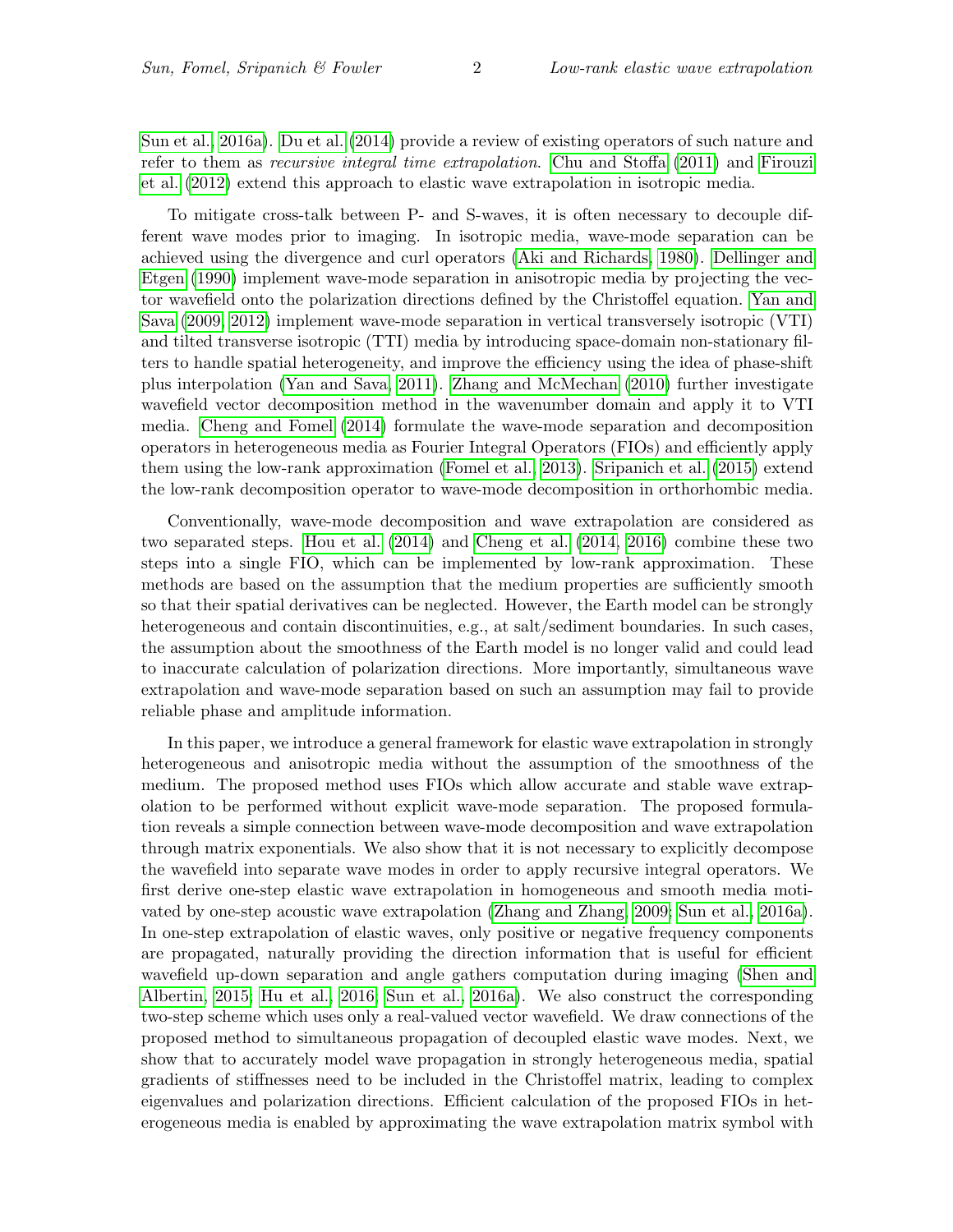[Sun et al., 2016a\)](#page-21-10). [Du et al. \(2014\)](#page-20-10) provide a review of existing operators of such nature and refer to them as recursive integral time extrapolation. [Chu and Stoffa \(2011\)](#page-19-6) and [Firouzi](#page-20-11) [et al. \(2012\)](#page-20-11) extend this approach to elastic wave extrapolation in isotropic media.

To mitigate cross-talk between P- and S-waves, it is often necessary to decouple different wave modes prior to imaging. In isotropic media, wave-mode separation can be achieved using the divergence and curl operators [\(Aki and Richards, 1980\)](#page-19-7). [Dellinger and](#page-20-12) [Etgen \(1990\)](#page-20-12) implement wave-mode separation in anisotropic media by projecting the vector wavefield onto the polarization directions defined by the Christoffel equation. [Yan and](#page-22-1) [Sava \(2009,](#page-22-1) [2012\)](#page-22-2) implement wave-mode separation in vertical transversely isotropic (VTI) and tilted transverse isotropic (TTI) media by introducing space-domain non-stationary filters to handle spatial heterogeneity, and improve the efficiency using the idea of phase-shift plus interpolation [\(Yan and Sava, 2011\)](#page-22-3). [Zhang and McMechan \(2010\)](#page-22-4) further investigate wavefield vector decomposition method in the wavenumber domain and apply it to VTI media. [Cheng and Fomel \(2014\)](#page-19-8) formulate the wave-mode separation and decomposition operators in heterogeneous media as Fourier Integral Operators (FIOs) and efficiently apply them using the low-rank approximation [\(Fomel et al., 2013\)](#page-20-8). [Sripanich et al. \(2015\)](#page-21-11) extend the low-rank decomposition operator to wave-mode decomposition in orthorhombic media.

Conventionally, wave-mode decomposition and wave extrapolation are considered as two separated steps. [Hou et al. \(2014\)](#page-20-13) and [Cheng et al. \(2014,](#page-19-9) [2016\)](#page-19-10) combine these two steps into a single FIO, which can be implemented by low-rank approximation. These methods are based on the assumption that the medium properties are sufficiently smooth so that their spatial derivatives can be neglected. However, the Earth model can be strongly heterogeneous and contain discontinuities, e.g., at salt/sediment boundaries. In such cases, the assumption about the smoothness of the Earth model is no longer valid and could lead to inaccurate calculation of polarization directions. More importantly, simultaneous wave extrapolation and wave-mode separation based on such an assumption may fail to provide reliable phase and amplitude information.

In this paper, we introduce a general framework for elastic wave extrapolation in strongly heterogeneous and anisotropic media without the assumption of the smoothness of the medium. The proposed method uses FIOs which allow accurate and stable wave extrapolation to be performed without explicit wave-mode separation. The proposed formulation reveals a simple connection between wave-mode decomposition and wave extrapolation through matrix exponentials. We also show that it is not necessary to explicitly decompose the wavefield into separate wave modes in order to apply recursive integral operators. We first derive one-step elastic wave extrapolation in homogeneous and smooth media motivated by one-step acoustic wave extrapolation [\(Zhang and Zhang, 2009;](#page-22-0) [Sun et al., 2016a\)](#page-21-10). In one-step extrapolation of elastic waves, only positive or negative frequency components are propagated, naturally providing the direction information that is useful for efficient wavefield up-down separation and angle gathers computation during imaging [\(Shen and](#page-21-12) [Albertin, 2015;](#page-21-12) [Hu et al., 2016;](#page-20-14) [Sun et al., 2016a\)](#page-21-10). We also construct the corresponding two-step scheme which uses only a real-valued vector wavefield. We draw connections of the proposed method to simultaneous propagation of decoupled elastic wave modes. Next, we show that to accurately model wave propagation in strongly heterogeneous media, spatial gradients of stiffnesses need to be included in the Christoffel matrix, leading to complex eigenvalues and polarization directions. Efficient calculation of the proposed FIOs in heterogeneous media is enabled by approximating the wave extrapolation matrix symbol with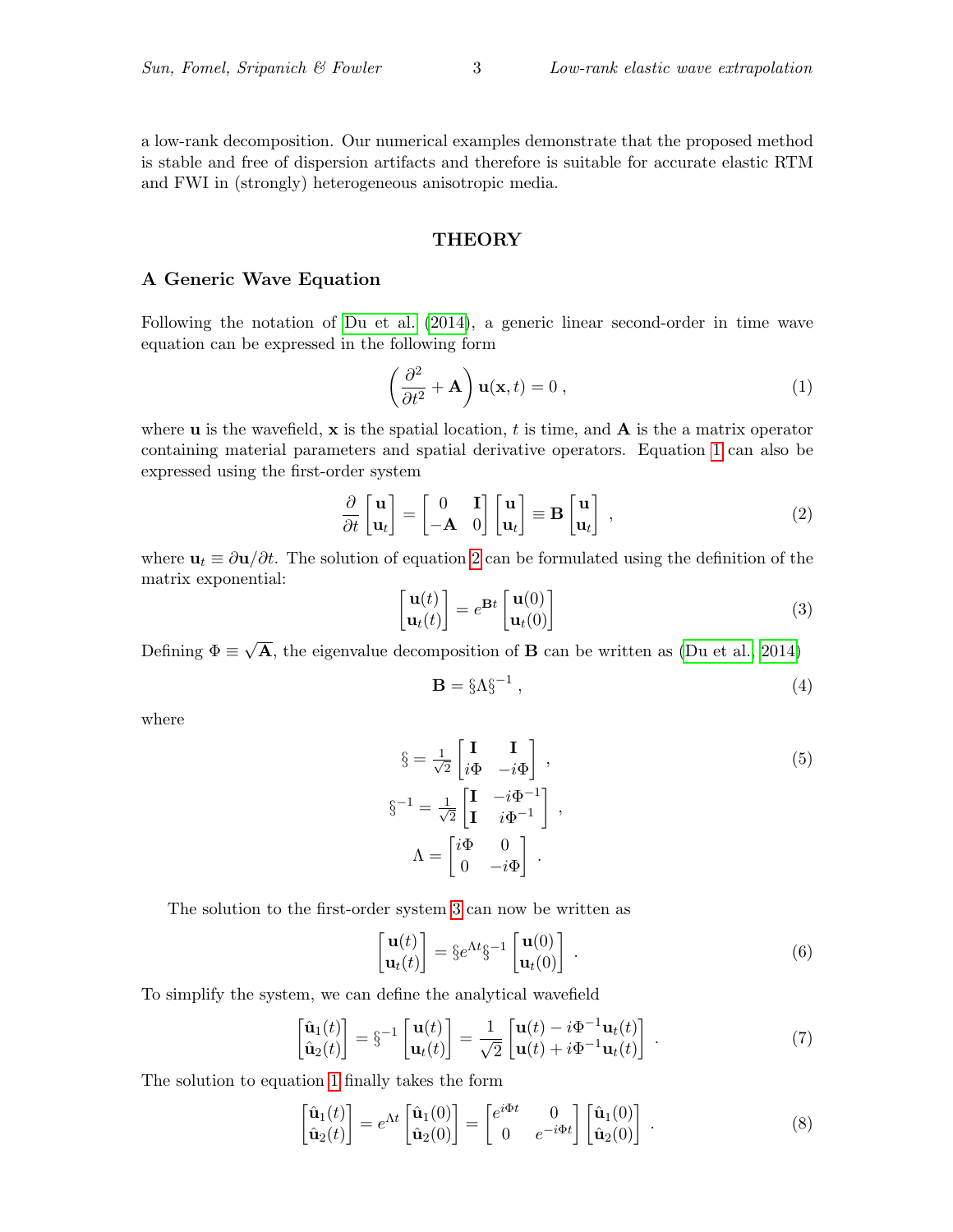a low-rank decomposition. Our numerical examples demonstrate that the proposed method is stable and free of dispersion artifacts and therefore is suitable for accurate elastic RTM and FWI in (strongly) heterogeneous anisotropic media.

# **THEORY**

## A Generic Wave Equation

Following the notation of [Du et al. \(2014\)](#page-20-10), a generic linear second-order in time wave equation can be expressed in the following form

<span id="page-2-0"></span>
$$
\left(\frac{\partial^2}{\partial t^2} + \mathbf{A}\right) \mathbf{u}(\mathbf{x}, t) = 0 , \qquad (1)
$$

where **u** is the wavefield, **x** is the spatial location, t is time, and **A** is the a matrix operator containing material parameters and spatial derivative operators. Equation [1](#page-2-0) can also be expressed using the first-order system

<span id="page-2-2"></span><span id="page-2-1"></span>
$$
\frac{\partial}{\partial t} \begin{bmatrix} \mathbf{u} \\ \mathbf{u}_t \end{bmatrix} = \begin{bmatrix} 0 & \mathbf{I} \\ -\mathbf{A} & 0 \end{bmatrix} \begin{bmatrix} \mathbf{u} \\ \mathbf{u}_t \end{bmatrix} \equiv \mathbf{B} \begin{bmatrix} \mathbf{u} \\ \mathbf{u}_t \end{bmatrix} \,, \tag{2}
$$

where  $\mathbf{u}_t \equiv \partial \mathbf{u}/\partial t$ . The solution of equation [2](#page-2-1) can be formulated using the definition of the matrix exponential:

$$
\begin{bmatrix} \mathbf{u}(t) \\ \mathbf{u}_t(t) \end{bmatrix} = e^{\mathbf{B}t} \begin{bmatrix} \mathbf{u}(0) \\ \mathbf{u}_t(0) \end{bmatrix}
$$
 (3)

Defining  $\Phi \equiv$ √  $\mathbf{A}$ , the eigenvalue decomposition of  $\mathbf{B}$  can be written as [\(Du et al., 2014\)](#page-20-10)

$$
\mathbf{B} = \S \Lambda \S^{-1} \tag{4}
$$

where

$$
\S = \frac{1}{\sqrt{2}} \begin{bmatrix} \mathbf{I} & \mathbf{I} \\ i\Phi & -i\Phi \end{bmatrix},
$$
  

$$
\S^{-1} = \frac{1}{\sqrt{2}} \begin{bmatrix} \mathbf{I} & -i\Phi^{-1} \\ \mathbf{I} & i\Phi^{-1} \end{bmatrix},
$$
  

$$
\Lambda = \begin{bmatrix} i\Phi & 0 \\ 0 & -i\Phi \end{bmatrix}.
$$
 (5)

The solution to the first-order system [3](#page-2-2) can now be written as

<span id="page-2-3"></span>
$$
\begin{bmatrix} \mathbf{u}(t) \\ \mathbf{u}_t(t) \end{bmatrix} = \S e^{\Lambda t} \S^{-1} \begin{bmatrix} \mathbf{u}(0) \\ \mathbf{u}_t(0) \end{bmatrix} . \tag{6}
$$

To simplify the system, we can define the analytical wavefield

$$
\begin{bmatrix} \hat{\mathbf{u}}_1(t) \\ \hat{\mathbf{u}}_2(t) \end{bmatrix} = \S^{-1} \begin{bmatrix} \mathbf{u}(t) \\ \mathbf{u}_t(t) \end{bmatrix} = \frac{1}{\sqrt{2}} \begin{bmatrix} \mathbf{u}(t) - i\Phi^{-1}\mathbf{u}_t(t) \\ \mathbf{u}(t) + i\Phi^{-1}\mathbf{u}_t(t) \end{bmatrix} . \tag{7}
$$

The solution to equation [1](#page-2-0) finally takes the form

$$
\begin{bmatrix} \hat{\mathbf{u}}_1(t) \\ \hat{\mathbf{u}}_2(t) \end{bmatrix} = e^{\Lambda t} \begin{bmatrix} \hat{\mathbf{u}}_1(0) \\ \hat{\mathbf{u}}_2(0) \end{bmatrix} = \begin{bmatrix} e^{i\Phi t} & 0 \\ 0 & e^{-i\Phi t} \end{bmatrix} \begin{bmatrix} \hat{\mathbf{u}}_1(0) \\ \hat{\mathbf{u}}_2(0) \end{bmatrix} . \tag{8}
$$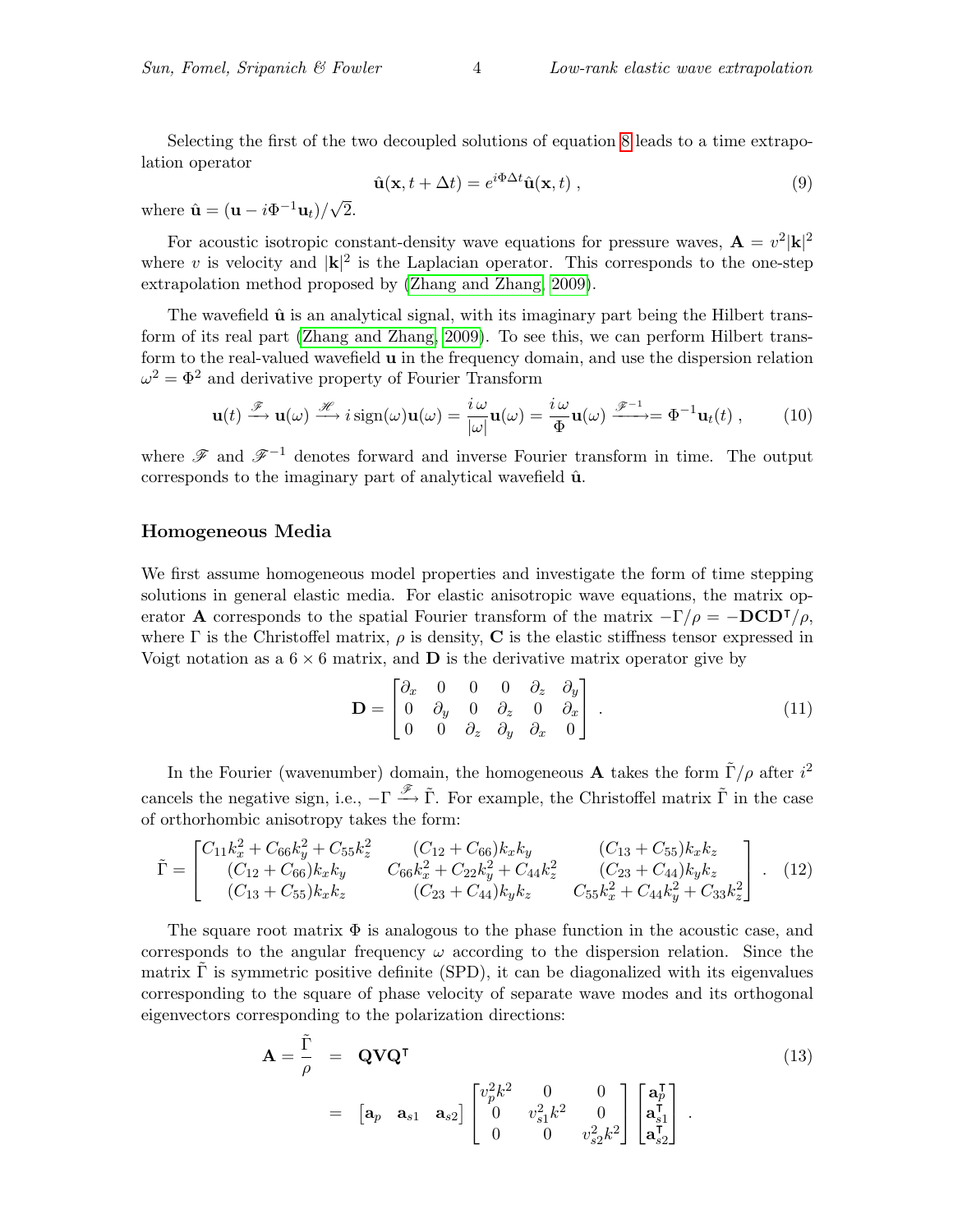<span id="page-3-0"></span>Selecting the first of the two decoupled solutions of equation [8](#page-2-3) leads to a time extrapolation operator

$$
\hat{\mathbf{u}}(\mathbf{x}, t + \Delta t) = e^{i\Phi \Delta t} \hat{\mathbf{u}}(\mathbf{x}, t) , \qquad (9)
$$

where  $\hat{\mathbf{u}} = (\mathbf{u} - i\Phi^{-1}\mathbf{u}_t)/\sqrt{\frac{(\mathbf{u} - \mathbf{u}_t)^2}{n}}$ 2.

For acoustic isotropic constant-density wave equations for pressure waves,  $\mathbf{A} = v^2 |\mathbf{k}|^2$ where v is velocity and  $|\mathbf{k}|^2$  is the Laplacian operator. This corresponds to the one-step extrapolation method proposed by [\(Zhang and Zhang, 2009\)](#page-22-0).

The wavefield  $\hat{u}$  is an analytical signal, with its imaginary part being the Hilbert transform of its real part [\(Zhang and Zhang, 2009\)](#page-22-0). To see this, we can perform Hilbert transform to the real-valued wavefield u in the frequency domain, and use the dispersion relation  $\omega^2 = \Phi^2$  and derivative property of Fourier Transform

$$
\mathbf{u}(t) \xrightarrow{\mathscr{F}} \mathbf{u}(\omega) \xrightarrow{\mathscr{H}} i \operatorname{sign}(\omega) \mathbf{u}(\omega) = \frac{i\,\omega}{|\omega|} \mathbf{u}(\omega) = \frac{i\,\omega}{\Phi} \mathbf{u}(\omega) \xrightarrow{\mathscr{F}^{-1}} \Phi^{-1} \mathbf{u}_t(t) , \qquad (10)
$$

where  $\mathscr F$  and  $\mathscr F^{-1}$  denotes forward and inverse Fourier transform in time. The output corresponds to the imaginary part of analytical wavefield  $\hat{u}$ .

### Homogeneous Media

We first assume homogeneous model properties and investigate the form of time stepping solutions in general elastic media. For elastic anisotropic wave equations, the matrix operator **A** corresponds to the spatial Fourier transform of the matrix  $-\Gamma/\rho = -DCD^{\dagger}/\rho$ , where  $\Gamma$  is the Christoffel matrix,  $\rho$  is density, C is the elastic stiffness tensor expressed in Voigt notation as a  $6 \times 6$  matrix, and **D** is the derivative matrix operator give by

<span id="page-3-1"></span>
$$
\mathbf{D} = \begin{bmatrix} \partial_x & 0 & 0 & 0 & \partial_z & \partial_y \\ 0 & \partial_y & 0 & \partial_z & 0 & \partial_x \\ 0 & 0 & \partial_z & \partial_y & \partial_x & 0 \end{bmatrix} . \tag{11}
$$

In the Fourier (wavenumber) domain, the homogeneous **A** takes the form  $\tilde{\Gamma}/\rho$  after  $i^2$ cancels the negative sign, i.e.,  $-\Gamma \stackrel{\mathscr{F}}{\longrightarrow} \tilde{\Gamma}$ . For example, the Christoffel matrix  $\tilde{\Gamma}$  in the case of orthorhombic anisotropy takes the form:

$$
\tilde{\Gamma} = \begin{bmatrix}\nC_{11}k_x^2 + C_{66}k_y^2 + C_{55}k_z^2 & (C_{12} + C_{66})k_xk_y & (C_{13} + C_{55})k_xk_z \\
(C_{12} + C_{66})k_xk_y & C_{66}k_x^2 + C_{22}k_y^2 + C_{44}k_z^2 & (C_{23} + C_{44})k_yk_z \\
(C_{13} + C_{55})k_xk_z & (C_{23} + C_{44})k_yk_z & C_{55}k_x^2 + C_{44}k_y^2 + C_{33}k_z^2\n\end{bmatrix} .
$$
\n(12)

The square root matrix  $\Phi$  is analogous to the phase function in the acoustic case, and corresponds to the angular frequency  $\omega$  according to the dispersion relation. Since the matrix  $\Gamma$  is symmetric positive definite (SPD), it can be diagonalized with its eigenvalues corresponding to the square of phase velocity of separate wave modes and its orthogonal eigenvectors corresponding to the polarization directions:

<span id="page-3-2"></span>
$$
\mathbf{A} = \frac{\tilde{\Gamma}}{\rho} = \mathbf{Q} \mathbf{V} \mathbf{Q}^{\mathsf{T}}
$$
\n
$$
= [\mathbf{a}_p \quad \mathbf{a}_{s1} \quad \mathbf{a}_{s2}] \begin{bmatrix} v_p^2 k^2 & 0 & 0 \\ 0 & v_{s1}^2 k^2 & 0 \\ 0 & 0 & v_{s2}^2 k^2 \end{bmatrix} \begin{bmatrix} \mathbf{a}_p^{\mathsf{T}} \\ \mathbf{a}_{s1}^{\mathsf{T}} \\ \mathbf{a}_{s2}^{\mathsf{T}} \end{bmatrix} .
$$
\n(13)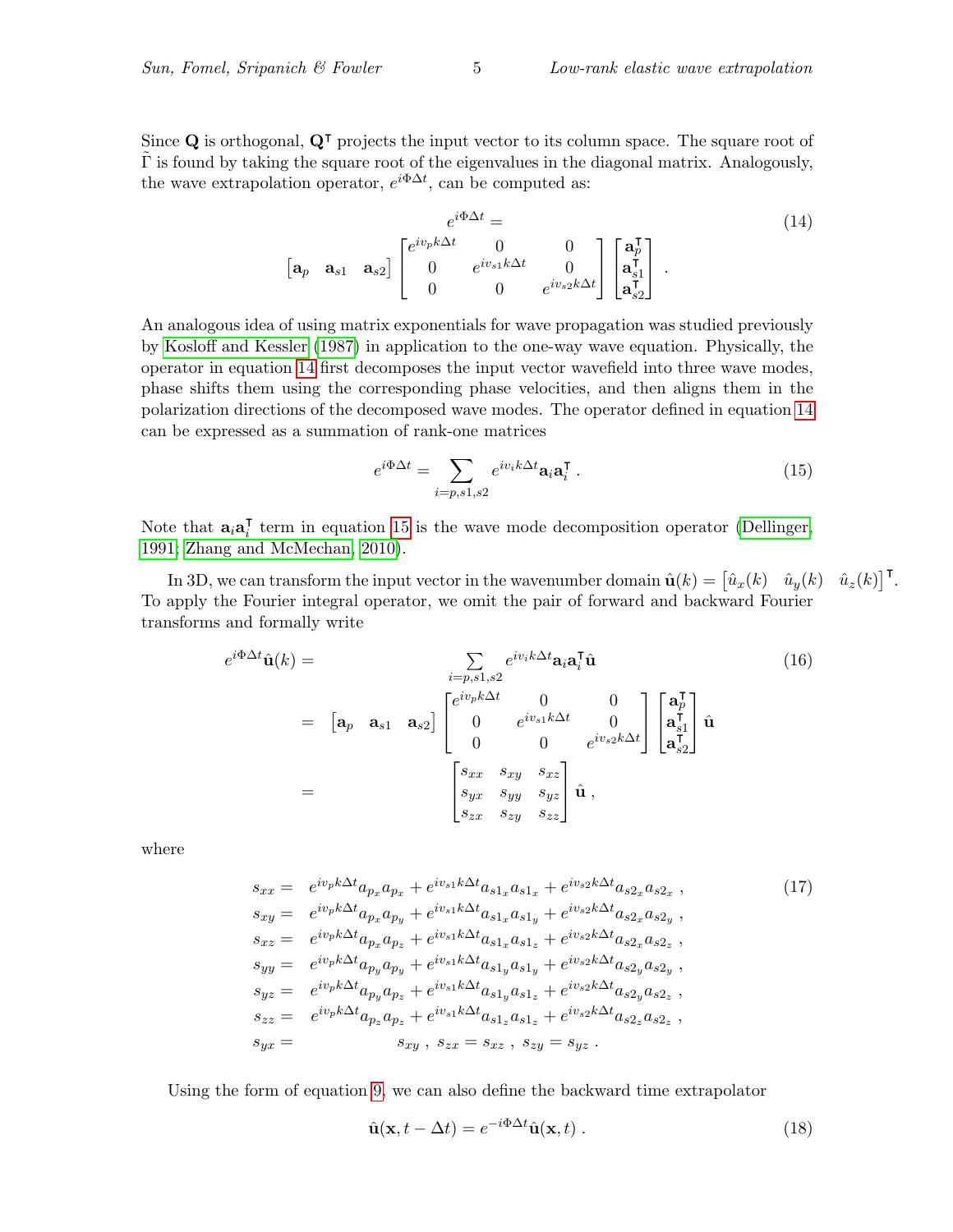Since  $Q$  is orthogonal,  $Q^{\dagger}$  projects the input vector to its column space. The square root of  $\tilde{\Gamma}$  is found by taking the square root of the eigenvalues in the diagonal matrix. Analogously, the wave extrapolation operator,  $e^{i\Phi \Delta t}$ , can be computed as:

<span id="page-4-0"></span>
$$
e^{i\Phi\Delta t} =
$$
\n
$$
\begin{bmatrix} \mathbf{a}_p & \mathbf{a}_{s1} & \mathbf{a}_{s2} \end{bmatrix} \begin{bmatrix} e^{iv_p k \Delta t} & 0 & 0 \\ 0 & e^{iv_{s1} k \Delta t} & 0 \\ 0 & 0 & e^{iv_{s2} k \Delta t} \end{bmatrix} \begin{bmatrix} \mathbf{a}_p^{\mathsf{T}} \\ \mathbf{a}_{s1}^{\mathsf{T}} \\ \mathbf{a}_{s2}^{\mathsf{T}} \end{bmatrix} .
$$
\n
$$
(14)
$$

An analogous idea of using matrix exponentials for wave propagation was studied previously by [Kosloff and Kessler \(1987\)](#page-20-15) in application to the one-way wave equation. Physically, the operator in equation [14](#page-4-0) first decomposes the input vector wavefield into three wave modes, phase shifts them using the corresponding phase velocities, and then aligns them in the polarization directions of the decomposed wave modes. The operator defined in equation [14](#page-4-0) can be expressed as a summation of rank-one matrices

<span id="page-4-1"></span>
$$
e^{i\Phi\Delta t} = \sum_{i=p,s1,s2} e^{iv_i k \Delta t} \mathbf{a}_i \mathbf{a}_i^{\mathsf{T}}.
$$
 (15)

Note that  $\mathbf{a}_i \mathbf{a}_i^{\mathsf{T}}$ <sup> $\frac{\pi}{i}$ </sup> term in equation [15](#page-4-1) is the wave mode decomposition operator [\(Dellinger,](#page-20-16) [1991;](#page-20-16) [Zhang and McMechan, 2010\)](#page-22-4).

In 3D, we can transform the input vector in the wavenumber domain  $\hat{\mathbf{u}}(k) = \begin{bmatrix} \hat{u}_x(k) & \hat{u}_y(k) & \hat{u}_z(k) \end{bmatrix}^{\mathsf{T}}$ . To apply the Fourier integral operator, we omit the pair of forward and backward Fourier transforms and formally write

<span id="page-4-3"></span>
$$
e^{i\Phi\Delta t}\hat{\mathbf{u}}(k) = \sum_{i=p,s1,s2} e^{iv_i k \Delta t} \mathbf{a}_i \mathbf{a}_i^{\mathsf{T}} \hat{\mathbf{u}} \qquad (16)
$$
  
\n
$$
= [\mathbf{a}_p \quad \mathbf{a}_{s1} \quad \mathbf{a}_{s2}] \begin{bmatrix} e^{iv_p k \Delta t} & 0 & 0 \\ 0 & e^{iv_{s1} k \Delta t} & 0 \\ 0 & 0 & e^{iv_{s2} k \Delta t} \end{bmatrix} \begin{bmatrix} \mathbf{a}_p^{\mathsf{T}} \\ \mathbf{a}_{s1}^{\mathsf{T}} \\ \mathbf{a}_{s2}^{\mathsf{T}} \end{bmatrix} \hat{\mathbf{u}} \qquad (16)
$$
  
\n
$$
= \begin{bmatrix} s_{xx} & s_{xy} & s_{xz} \\ s_{yx} & s_{yy} & s_{yz} \\ s_{zx} & s_{zy} & s_{zz} \end{bmatrix} \hat{\mathbf{u}} \ ,
$$

where

<span id="page-4-2"></span>
$$
s_{xx} = e^{iv_{p}k\Delta t}a_{p_{x}}a_{p_{x}} + e^{iv_{s1}k\Delta t}a_{s1_{x}}a_{s1_{x}} + e^{iv_{s2}k\Delta t}a_{s2_{x}}a_{s2_{x}},
$$
\n
$$
s_{xy} = e^{iv_{p}k\Delta t}a_{p_{x}}a_{p_{y}} + e^{iv_{s1}k\Delta t}a_{s1_{x}}a_{s1_{y}} + e^{iv_{s2}k\Delta t}a_{s2_{x}}a_{s2_{y}},
$$
\n
$$
s_{xz} = e^{iv_{p}k\Delta t}a_{p_{x}}a_{p_{z}} + e^{iv_{s1}k\Delta t}a_{s1_{x}}a_{s1_{z}} + e^{iv_{s2}k\Delta t}a_{s2_{x}}a_{s2_{z}},
$$
\n
$$
s_{yy} = e^{iv_{p}k\Delta t}a_{p_{y}}a_{p_{y}} + e^{iv_{s1}k\Delta t}a_{s1_{y}}a_{s1_{y}} + e^{iv_{s2}k\Delta t}a_{s2_{y}}a_{s2_{y}},
$$
\n
$$
s_{yz} = e^{iv_{p}k\Delta t}a_{p_{y}}a_{p_{z}} + e^{iv_{s1}k\Delta t}a_{s1_{y}}a_{s1_{z}} + e^{iv_{s2}k\Delta t}a_{s2_{y}}a_{s2_{z}},
$$
\n
$$
s_{zz} = e^{iv_{p}k\Delta t}a_{p_{z}}a_{p_{z}} + e^{iv_{s1}k\Delta t}a_{s1_{z}}a_{s1_{z}} + e^{iv_{s2}k\Delta t}a_{s2_{z}}a_{s2_{z}},
$$
\n
$$
s_{yx} = s_{xy}, s_{zx} = s_{xz}, s_{zy} = s_{yz}.
$$
\n(17)

Using the form of equation [9,](#page-3-0) we can also define the backward time extrapolator

$$
\hat{\mathbf{u}}(\mathbf{x}, t - \Delta t) = e^{-i\Phi \Delta t} \hat{\mathbf{u}}(\mathbf{x}, t) .
$$
\n(18)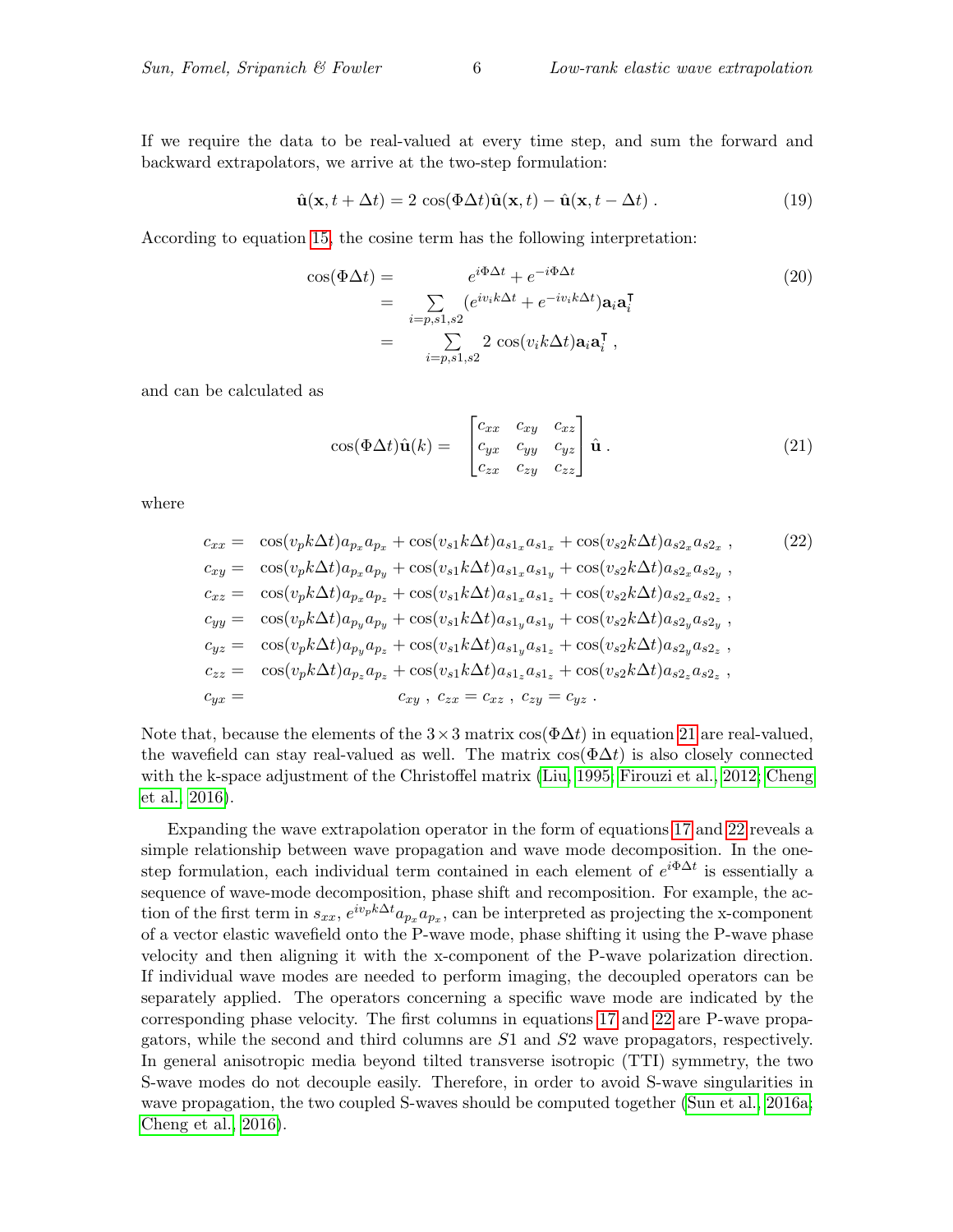If we require the data to be real-valued at every time step, and sum the forward and backward extrapolators, we arrive at the two-step formulation:

$$
\hat{\mathbf{u}}(\mathbf{x}, t + \Delta t) = 2 \cos(\Phi \Delta t) \hat{\mathbf{u}}(\mathbf{x}, t) - \hat{\mathbf{u}}(\mathbf{x}, t - \Delta t) . \tag{19}
$$

According to equation [15,](#page-4-1) the cosine term has the following interpretation:

<span id="page-5-2"></span>
$$
\cos(\Phi \Delta t) = e^{i\Phi \Delta t} + e^{-i\Phi \Delta t}
$$
\n
$$
= \sum_{i=p,s1,s2} (e^{iv_k \Delta t} + e^{-iv_k \Delta t}) \mathbf{a}_i \mathbf{a}_i^{\mathsf{T}}
$$
\n
$$
= \sum_{i=p,s1,s2} 2 \cos(v_i k \Delta t) \mathbf{a}_i \mathbf{a}_i^{\mathsf{T}},
$$
\n(20)

and can be calculated as

<span id="page-5-0"></span>
$$
\cos(\Phi \Delta t)\hat{\mathbf{u}}(k) = \begin{bmatrix} c_{xx} & c_{xy} & c_{xz} \\ c_{yx} & c_{yy} & c_{yz} \\ c_{zx} & c_{zy} & c_{zz} \end{bmatrix} \hat{\mathbf{u}} . \qquad (21)
$$

where

<span id="page-5-1"></span>
$$
c_{xx} = \cos(v_{p}k\Delta t)a_{p_{x}}a_{p_{x}} + \cos(v_{s1}k\Delta t)a_{s1_{x}}a_{s1_{x}} + \cos(v_{s2}k\Delta t)a_{s2_{x}}a_{s2_{x}},
$$
\n
$$
c_{xy} = \cos(v_{p}k\Delta t)a_{p_{x}}a_{p_{y}} + \cos(v_{s1}k\Delta t)a_{s1_{x}}a_{s1_{y}} + \cos(v_{s2}k\Delta t)a_{s2_{x}}a_{s2_{y}},
$$
\n
$$
c_{xz} = \cos(v_{p}k\Delta t)a_{p_{x}}a_{p_{z}} + \cos(v_{s1}k\Delta t)a_{s1_{x}}a_{s1_{z}} + \cos(v_{s2}k\Delta t)a_{s2_{x}}a_{s2_{z}},
$$
\n
$$
c_{yy} = \cos(v_{p}k\Delta t)a_{p_{y}}a_{p_{y}} + \cos(v_{s1}k\Delta t)a_{s1_{y}}a_{s1_{y}} + \cos(v_{s2}k\Delta t)a_{s2_{y}}a_{s2_{y}},
$$
\n
$$
c_{yz} = \cos(v_{p}k\Delta t)a_{p_{y}}a_{p_{z}} + \cos(v_{s1}k\Delta t)a_{s1_{y}}a_{s1_{z}} + \cos(v_{s2}k\Delta t)a_{s2_{y}}a_{s2_{z}},
$$
\n
$$
c_{zz} = \cos(v_{p}k\Delta t)a_{p_{z}}a_{p_{z}} + \cos(v_{s1}k\Delta t)a_{s1_{z}}a_{s1_{z}} + \cos(v_{s2}k\Delta t)a_{s2_{z}}a_{s2_{z}},
$$
\n
$$
c_{yx} = c_{xy}, c_{zx} = c_{xz}, c_{zy} = c_{yz}.
$$
\n(22)

Note that, because the elements of the  $3\times 3$  matrix  $\cos(\Phi \Delta t)$  in equation [21](#page-5-0) are real-valued, the wavefield can stay real-valued as well. The matrix  $\cos(\Phi \Delta t)$  is also closely connected with the k-space adjustment of the Christoffel matrix [\(Liu, 1995;](#page-20-17) [Firouzi et al., 2012;](#page-20-11) [Cheng](#page-19-10) [et al., 2016\)](#page-19-10).

Expanding the wave extrapolation operator in the form of equations [17](#page-4-2) and [22](#page-5-1) reveals a simple relationship between wave propagation and wave mode decomposition. In the onestep formulation, each individual term contained in each element of  $e^{i\Phi\Delta t}$  is essentially a sequence of wave-mode decomposition, phase shift and recomposition. For example, the action of the first term in  $s_{xx}$ ,  $e^{iv_p k \Delta t} a_{p_x} a_{p_x}$ , can be interpreted as projecting the x-component of a vector elastic wavefield onto the P-wave mode, phase shifting it using the P-wave phase velocity and then aligning it with the x-component of the P-wave polarization direction. If individual wave modes are needed to perform imaging, the decoupled operators can be separately applied. The operators concerning a specific wave mode are indicated by the corresponding phase velocity. The first columns in equations [17](#page-4-2) and [22](#page-5-1) are P-wave propagators, while the second and third columns are S1 and S2 wave propagators, respectively. In general anisotropic media beyond tilted transverse isotropic (TTI) symmetry, the two S-wave modes do not decouple easily. Therefore, in order to avoid S-wave singularities in wave propagation, the two coupled S-waves should be computed together [\(Sun et al., 2016a;](#page-21-10) [Cheng et al., 2016\)](#page-19-10).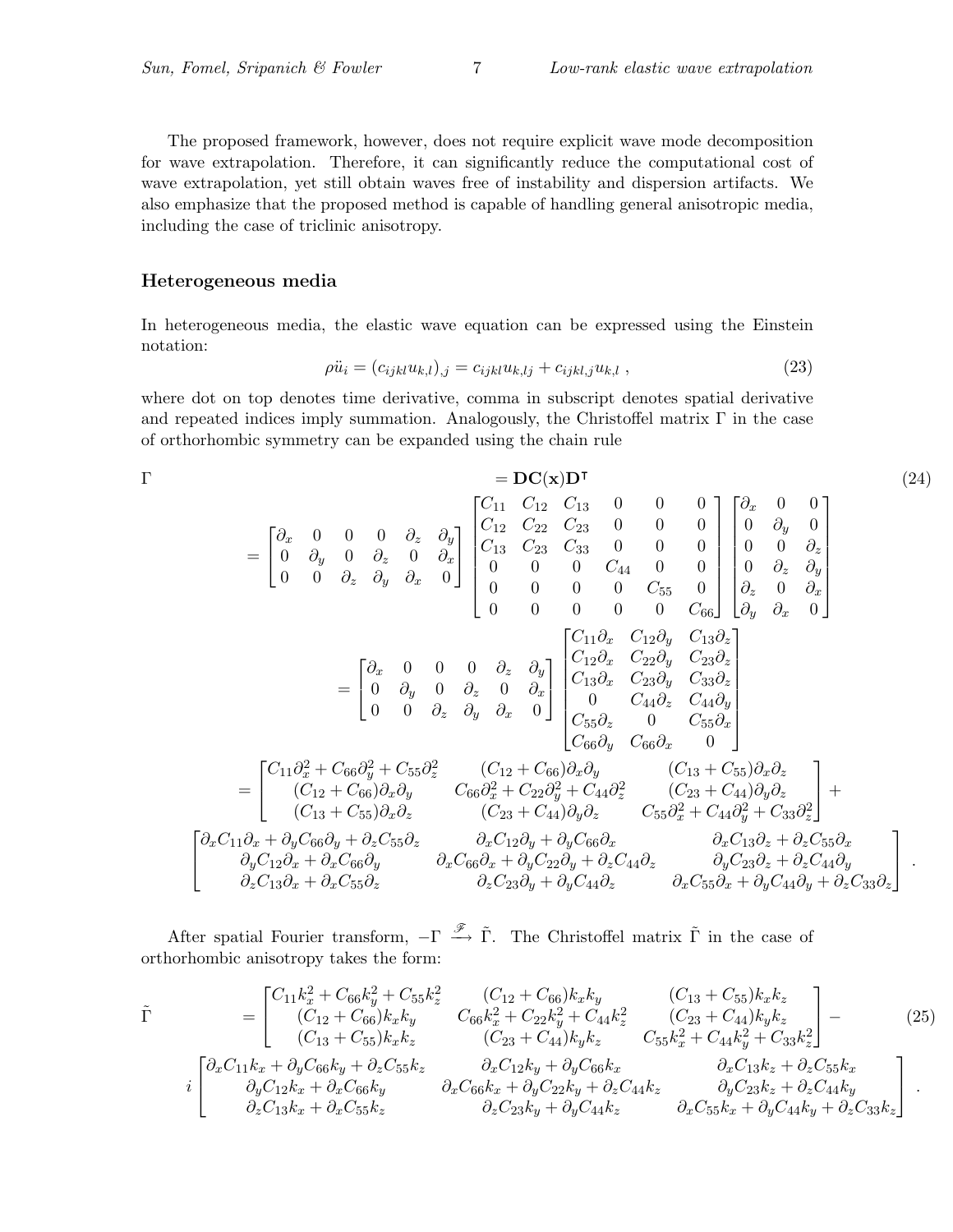The proposed framework, however, does not require explicit wave mode decomposition for wave extrapolation. Therefore, it can significantly reduce the computational cost of wave extrapolation, yet still obtain waves free of instability and dispersion artifacts. We also emphasize that the proposed method is capable of handling general anisotropic media, including the case of triclinic anisotropy.

# Heterogeneous media

In heterogeneous media, the elastic wave equation can be expressed using the Einstein notation:

$$
\rho \ddot{u}_i = (c_{ijkl} u_{k,l})_{,j} = c_{ijkl} u_{k,lj} + c_{ijkl,j} u_{k,l} , \qquad (23)
$$

where dot on top denotes time derivative, comma in subscript denotes spatial derivative and repeated indices imply summation. Analogously, the Christoffel matrix  $\Gamma$  in the case of orthorhombic symmetry can be expanded using the chain rule

$$
\Gamma = DC(x)D^{T}
$$
\n
$$
= DC(x)D^{T}
$$
\n
$$
= \begin{bmatrix}\n\partial_{x} & 0 & 0 & 0 & \partial_{z} & \partial_{y} \\
0 & \partial_{y} & 0 & \partial_{z} & 0 & \partial_{x} \\
0 & 0 & 0 & \partial_{z} & \partial_{y} & \partial_{x} & 0\n\end{bmatrix}\n\begin{bmatrix}\nC_{11} & C_{12} & C_{13} & 0 & 0 & 0 \\
C_{12} & C_{22} & C_{23} & 0 & 0 & 0 \\
C_{13} & C_{23} & C_{33} & 0 & 0 & 0 \\
0 & 0 & 0 & 0 & C_{44} & 0 & 0 \\
0 & 0 & 0 & 0 & 0 & C_{55} & 0 \\
0 & 0 & 0 & 0 & 0 & 0 & C_{66}\n\end{bmatrix}\n\begin{bmatrix}\nC_{11} & C_{12} & C_{13} & 0 & 0 & 0 \\
0 & C_{13} & C_{23} & C_{33} & 0 & 0 & 0 \\
0 & 0 & 0 & 0 & C_{25} & 0 & 0 \\
0 & 0 & 0 & 0 & 0 & C_{66}\n\end{bmatrix}\n\begin{bmatrix}\nC_{11} & 0 & 0 & 0 & 0 \\
C_{12} & C_{22} & C_{23} & 0 & 0 & 0 \\
C_{23} & C_{23} & C_{23} & 0 & 0 & 0 \\
C_{23} & C_{23} & C_{23} & 0 & 0 & 0 \\
C_{23} & C_{23} & C_{23} & 0 & 0 & 0 \\
C_{23} & C_{23} & C_{23} & 0 & 0 & 0 \\
C_{23} & C_{23} & C_{23} & 0 & 0 & 0 \\
C_{23} & C_{23} & C_{23} & 0 & 0 & 0 \\
C_{23} & C_{23} & C_{23} & 0 & 0 & 0 \\
C_{23} & C_{23} & C_{23} & 0 & 0 & 0 \\
C_{23} & C_{23} & C_{23} & 0 & 0 & 0 \\
C_{23} & C_{23} & C_{23} & 0 & 0 & 0 \\
C_{23} & C_{23} & C_{23} & 0 & 0 & 0 \\
C
$$

After spatial Fourier transform,  $-\Gamma \stackrel{\mathscr{F}}{\longrightarrow} \tilde{\Gamma}$ . The Christoffel matrix  $\tilde{\Gamma}$  in the case of orthorhombic anisotropy takes the form:

$$
\tilde{\Gamma} = \begin{bmatrix}\nC_{11}k_x^2 + C_{66}k_y^2 + C_{55}k_z^2 & (C_{12} + C_{66})k_xk_y & (C_{13} + C_{55})k_xk_z \\
(C_{12} + C_{66})k_xk_y & C_{66}k_x^2 + C_{22}k_y^2 + C_{44}k_z^2 & (C_{23} + C_{44})k_yk_z \\
(C_{13} + C_{55})k_xk_z & (C_{23} + C_{44})k_yk_z & C_{55}k_x^2 + C_{44}k_y^2 + C_{33}k_z^2\n\end{bmatrix} - \begin{bmatrix}\n\partial_x C_{11}k_x + \partial_y C_{66}k_y + \partial_z C_{55}k_z & \partial_x C_{12}k_y + \partial_y C_{66}k_x & \partial_x C_{13}k_z + \partial_z C_{55}k_x \\
\partial_y C_{12}k_x + \partial_x C_{66}k_y & \partial_x C_{66}k_x + \partial_y C_{22}k_y + \partial_z C_{44}k_z & \partial_y C_{23}k_z + \partial_z C_{44}k_y \\
\partial_z C_{13}k_x + \partial_x C_{55}k_z & \partial_z C_{23}k_y + \partial_y C_{44}k_z & \partial_x C_{55}k_x + \partial_y C_{44}k_y + \partial_z C_{33}k_z\n\end{bmatrix}.
$$
\n(25)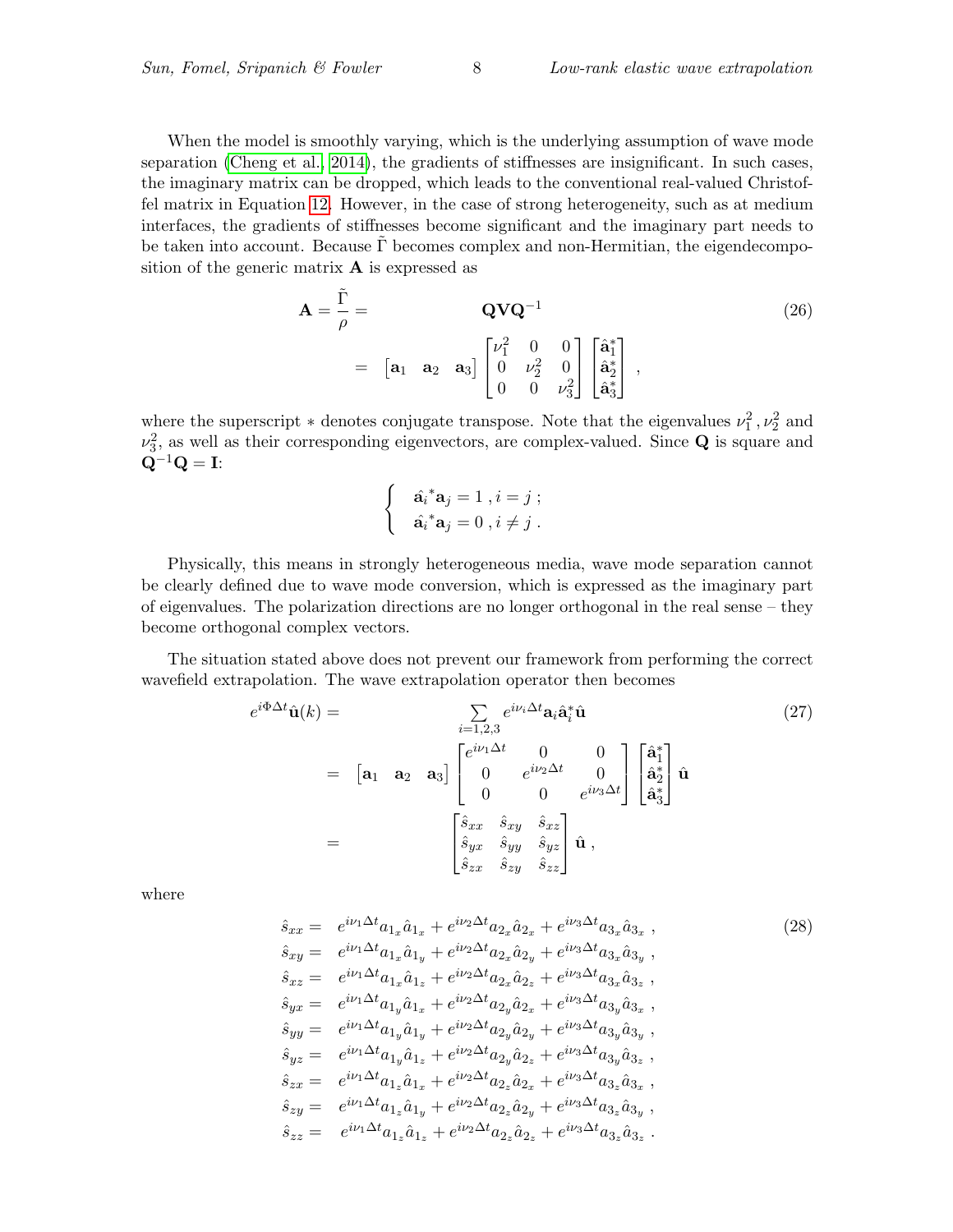When the model is smoothly varying, which is the underlying assumption of wave mode separation [\(Cheng et al., 2014\)](#page-19-9), the gradients of stiffnesses are insignificant. In such cases, the imaginary matrix can be dropped, which leads to the conventional real-valued Christoffel matrix in Equation [12.](#page-3-1) However, in the case of strong heterogeneity, such as at medium interfaces, the gradients of stiffnesses become significant and the imaginary part needs to be taken into account. Because  $\Gamma$  becomes complex and non-Hermitian, the eigendecomposition of the generic matrix  $\bf{A}$  is expressed as

$$
\mathbf{A} = \frac{\tilde{\Gamma}}{\rho} = \mathbf{Q} \mathbf{V} \mathbf{Q}^{-1}
$$
\n
$$
= [\mathbf{a}_1 \quad \mathbf{a}_2 \quad \mathbf{a}_3] \begin{bmatrix} \nu_1^2 & 0 & 0 \\ 0 & \nu_2^2 & 0 \\ 0 & 0 & \nu_3^2 \end{bmatrix} \begin{bmatrix} \hat{\mathbf{a}}_1^* \\ \hat{\mathbf{a}}_2^* \\ \hat{\mathbf{a}}_3^* \end{bmatrix},
$$
\n(26)

where the superscript  $*$  denotes conjugate transpose. Note that the eigenvalues  $\nu_1^2$ ,  $\nu_2^2$  and  $\nu_3^2$ , as well as their corresponding eigenvectors, are complex-valued. Since **Q** is square and  $\mathbf{Q}^{-1}\mathbf{Q} = \mathbf{I}$ :

<span id="page-7-0"></span>
$$
\begin{cases}\n\hat{\mathbf{a}}_i^* \mathbf{a}_j = 1, i = j; \\
\hat{\mathbf{a}}_i^* \mathbf{a}_j = 0, i \neq j.\n\end{cases}
$$

Physically, this means in strongly heterogeneous media, wave mode separation cannot be clearly defined due to wave mode conversion, which is expressed as the imaginary part of eigenvalues. The polarization directions are no longer orthogonal in the real sense – they become orthogonal complex vectors.

The situation stated above does not prevent our framework from performing the correct wavefield extrapolation. The wave extrapolation operator then becomes

$$
e^{i\Phi\Delta t}\hat{\mathbf{u}}(k) = \sum_{i=1,2,3} e^{i\nu_i \Delta t} \mathbf{a}_i \hat{\mathbf{a}}_i^* \hat{\mathbf{u}} \qquad (27)
$$
  
\n
$$
= [\mathbf{a}_1 \quad \mathbf{a}_2 \quad \mathbf{a}_3] \begin{bmatrix} e^{i\nu_1 \Delta t} & 0 & 0 \\ 0 & e^{i\nu_2 \Delta t} & 0 \\ 0 & 0 & e^{i\nu_3 \Delta t} \end{bmatrix} \begin{bmatrix} \hat{\mathbf{a}}_1^* \\ \hat{\mathbf{a}}_2^* \\ \hat{\mathbf{a}}_3^* \end{bmatrix} \hat{\mathbf{u}} \qquad (27)
$$
  
\n
$$
= \begin{bmatrix} \hat{s}_{xx} & \hat{s}_{xy} & \hat{s}_{xz} \\ \hat{s}_{yx} & \hat{s}_{yy} & \hat{s}_{yz} \\ \hat{s}_{zx} & \hat{s}_{zy} & \hat{s}_{zz} \end{bmatrix} \hat{\mathbf{u}} \ ,
$$

where

$$
\hat{s}_{xx} = e^{i\nu_1 \Delta t} a_{1x} \hat{a}_{1x} + e^{i\nu_2 \Delta t} a_{2x} \hat{a}_{2x} + e^{i\nu_3 \Delta t} a_{3x} \hat{a}_{3x} ,
$$
\n
$$
\hat{s}_{xy} = e^{i\nu_1 \Delta t} a_{1x} \hat{a}_{1y} + e^{i\nu_2 \Delta t} a_{2x} \hat{a}_{2y} + e^{i\nu_3 \Delta t} a_{3x} \hat{a}_{3y} ,
$$
\n
$$
\hat{s}_{xz} = e^{i\nu_1 \Delta t} a_{1x} \hat{a}_{1z} + e^{i\nu_2 \Delta t} a_{2x} \hat{a}_{2z} + e^{i\nu_3 \Delta t} a_{3x} \hat{a}_{3z} ,
$$
\n
$$
\hat{s}_{yy} = e^{i\nu_1 \Delta t} a_{1y} \hat{a}_{1x} + e^{i\nu_2 \Delta t} a_{2y} \hat{a}_{2x} + e^{i\nu_3 \Delta t} a_{3y} \hat{a}_{3x} ,
$$
\n
$$
\hat{s}_{yy} = e^{i\nu_1 \Delta t} a_{1y} \hat{a}_{1y} + e^{i\nu_2 \Delta t} a_{2y} \hat{a}_{2y} + e^{i\nu_3 \Delta t} a_{3y} \hat{a}_{3y} ,
$$
\n
$$
\hat{s}_{yz} = e^{i\nu_1 \Delta t} a_{1y} \hat{a}_{1z} + e^{i\nu_2 \Delta t} a_{2y} \hat{a}_{2z} + e^{i\nu_3 \Delta t} a_{3y} \hat{a}_{3z} ,
$$
\n
$$
\hat{s}_{zx} = e^{i\nu_1 \Delta t} a_{1z} \hat{a}_{1x} + e^{i\nu_2 \Delta t} a_{2z} \hat{a}_{2x} + e^{i\nu_3 \Delta t} a_{3z} \hat{a}_{3x} ,
$$
\n
$$
\hat{s}_{zy} = e^{i\nu_1 \Delta t} a_{1z} \hat{a}_{1y} + e^{i\nu_2 \Delta t} a_{2z} \hat{a}_{2y} + e^{i\nu_3 \Delta t} a_{3z} \hat{a}_{3y} ,
$$
\n
$$
\hat{s}_{zz} = e^{i\nu_1 \Delta t} a_{1z} \hat{a}_{1z} +
$$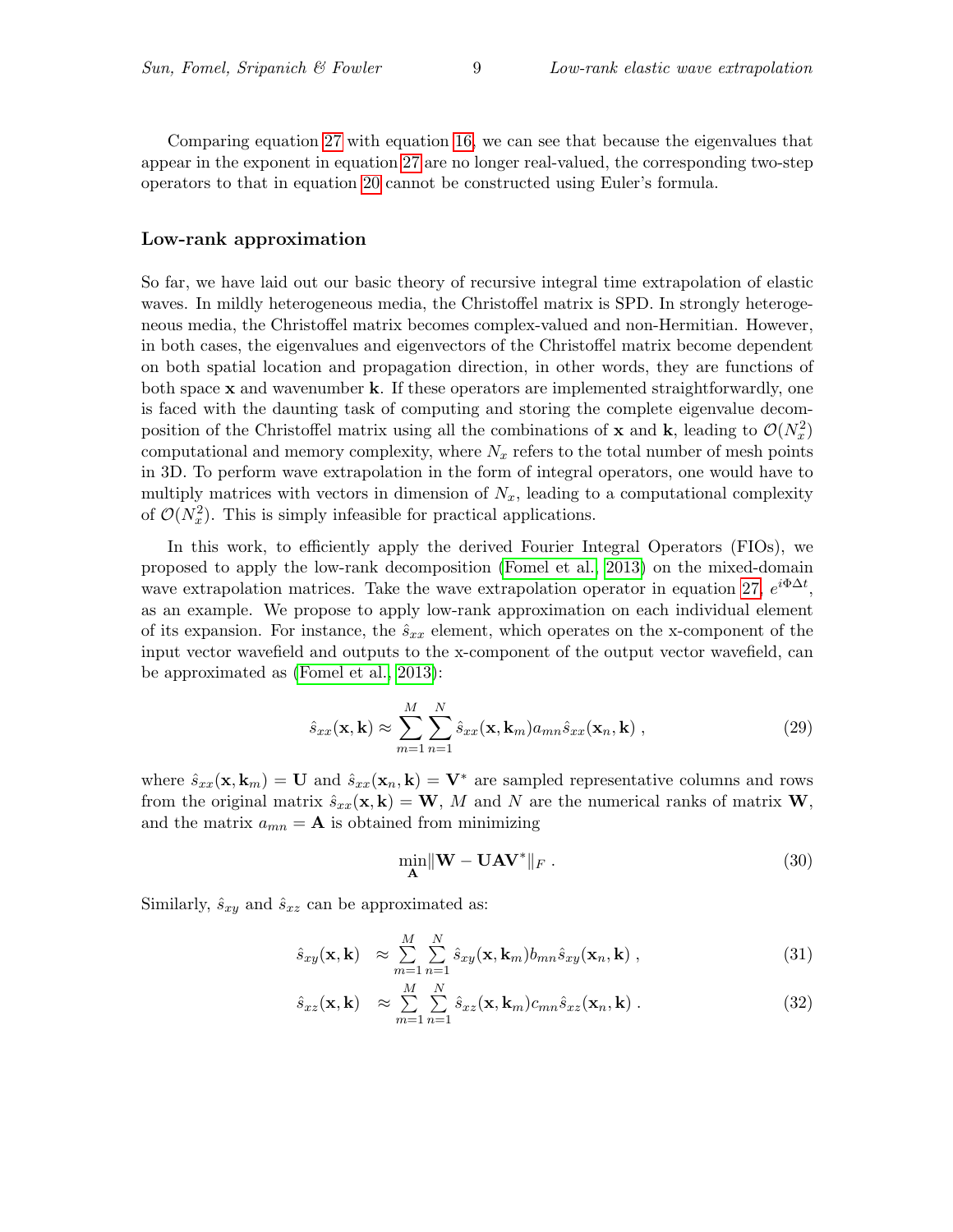Comparing equation [27](#page-7-0) with equation [16,](#page-4-3) we can see that because the eigenvalues that appear in the exponent in equation [27](#page-7-0) are no longer real-valued, the corresponding two-step operators to that in equation [20](#page-5-2) cannot be constructed using Euler's formula.

# Low-rank approximation

So far, we have laid out our basic theory of recursive integral time extrapolation of elastic waves. In mildly heterogeneous media, the Christoffel matrix is SPD. In strongly heterogeneous media, the Christoffel matrix becomes complex-valued and non-Hermitian. However, in both cases, the eigenvalues and eigenvectors of the Christoffel matrix become dependent on both spatial location and propagation direction, in other words, they are functions of both space  $x$  and wavenumber  $k$ . If these operators are implemented straightforwardly, one is faced with the daunting task of computing and storing the complete eigenvalue decomposition of the Christoffel matrix using all the combinations of **x** and **k**, leading to  $\mathcal{O}(N_x^2)$ computational and memory complexity, where  $N_x$  refers to the total number of mesh points in 3D. To perform wave extrapolation in the form of integral operators, one would have to multiply matrices with vectors in dimension of  $N_x$ , leading to a computational complexity of  $\mathcal{O}(N_x^2)$ . This is simply infeasible for practical applications.

In this work, to efficiently apply the derived Fourier Integral Operators (FIOs), we proposed to apply the low-rank decomposition [\(Fomel et al., 2013\)](#page-20-8) on the mixed-domain wave extrapolation matrices. Take the wave extrapolation operator in equation [27,](#page-7-0)  $e^{i\Phi\Delta t}$ , as an example. We propose to apply low-rank approximation on each individual element of its expansion. For instance, the  $\hat{s}_{xx}$  element, which operates on the x-component of the input vector wavefield and outputs to the x-component of the output vector wavefield, can be approximated as [\(Fomel et al., 2013\)](#page-20-8):

$$
\hat{s}_{xx}(\mathbf{x}, \mathbf{k}) \approx \sum_{m=1}^{M} \sum_{n=1}^{N} \hat{s}_{xx}(\mathbf{x}, \mathbf{k}_m) a_{mn} \hat{s}_{xx}(\mathbf{x}_n, \mathbf{k}) ,
$$
\n(29)

where  $\hat{s}_{xx}(\mathbf{x}, \mathbf{k}_m) = \mathbf{U}$  and  $\hat{s}_{xx}(\mathbf{x}_n, \mathbf{k}) = \mathbf{V}^*$  are sampled representative columns and rows from the original matrix  $\hat{s}_{xx}(\mathbf{x}, \mathbf{k}) = \mathbf{W}$ , M and N are the numerical ranks of matrix  $\mathbf{W}$ , and the matrix  $a_{mn} = \mathbf{A}$  is obtained from minimizing

$$
\min_{\mathbf{A}} \|\mathbf{W} - \mathbf{U}\mathbf{A}\mathbf{V}^*\|_F. \tag{30}
$$

Similarly,  $\hat{s}_{xy}$  and  $\hat{s}_{xz}$  can be approximated as:

$$
\hat{s}_{xy}(\mathbf{x}, \mathbf{k}) \approx \sum_{m=1}^{M} \sum_{n=1}^{N} \hat{s}_{xy}(\mathbf{x}, \mathbf{k}_m) b_{mn} \hat{s}_{xy}(\mathbf{x}_n, \mathbf{k}) ,
$$
\n(31)

$$
\hat{s}_{xz}(\mathbf{x}, \mathbf{k}) \approx \sum_{m=1}^{M} \sum_{n=1}^{N} \hat{s}_{xz}(\mathbf{x}, \mathbf{k}_m) c_{mn} \hat{s}_{xz}(\mathbf{x}_n, \mathbf{k}) . \tag{32}
$$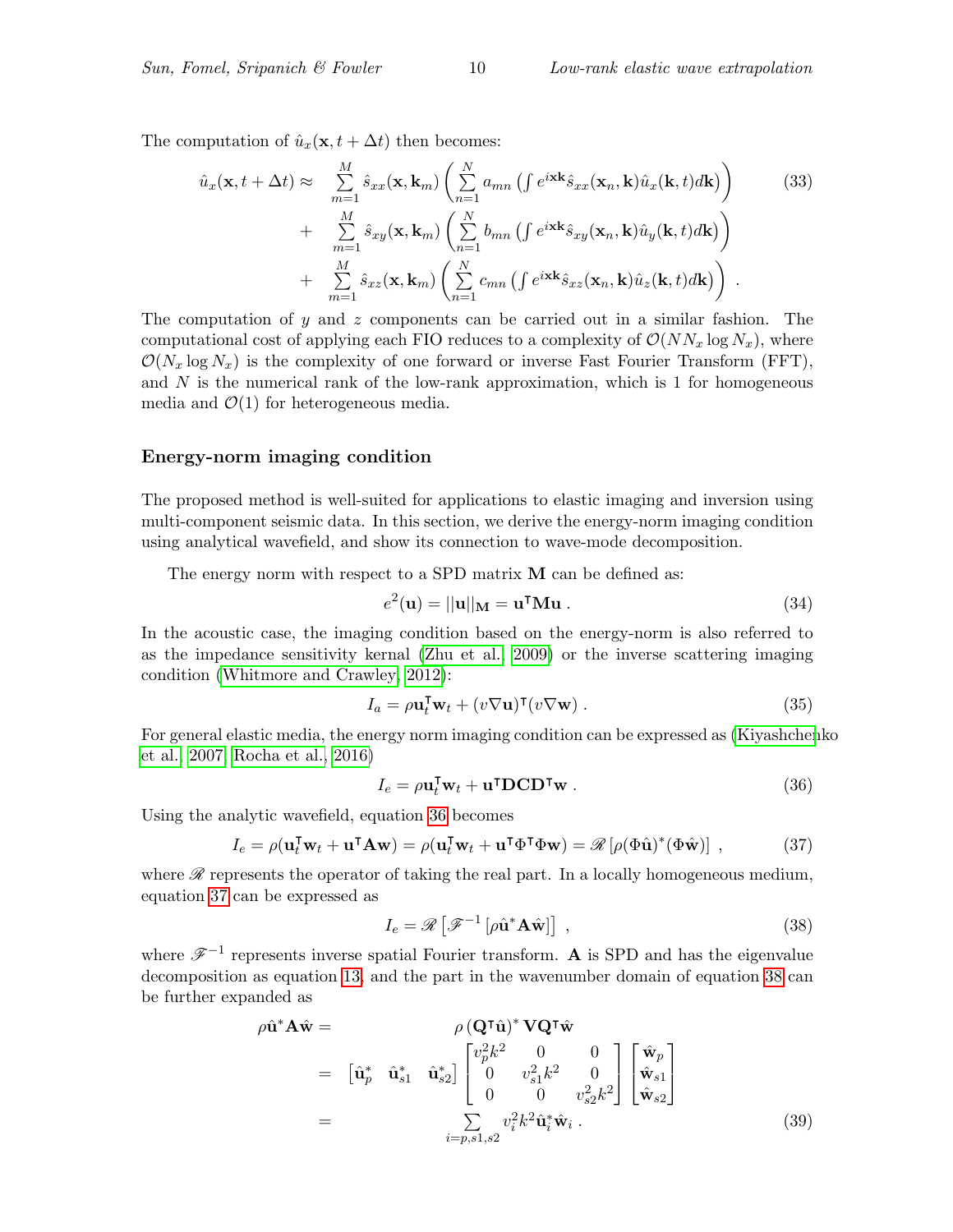The computation of  $\hat{u}_x(\mathbf{x}, t + \Delta t)$  then becomes:

$$
\hat{u}_x(\mathbf{x}, t + \Delta t) \approx \sum_{m=1}^M \hat{s}_{xx}(\mathbf{x}, \mathbf{k}_m) \left( \sum_{n=1}^N a_{mn} \left( \int e^{i\mathbf{x} \mathbf{k}} \hat{s}_{xx}(\mathbf{x}_n, \mathbf{k}) \hat{u}_x(\mathbf{k}, t) d\mathbf{k} \right) \right) \tag{33}
$$
\n
$$
+ \sum_{m=1}^M \hat{s}_{xy}(\mathbf{x}, \mathbf{k}_m) \left( \sum_{n=1}^N b_{mn} \left( \int e^{i\mathbf{x} \mathbf{k}} \hat{s}_{xy}(\mathbf{x}_n, \mathbf{k}) \hat{u}_y(\mathbf{k}, t) d\mathbf{k} \right) \right) \newline + \sum_{m=1}^M \hat{s}_{xz}(\mathbf{x}, \mathbf{k}_m) \left( \sum_{n=1}^N c_{mn} \left( \int e^{i\mathbf{x} \mathbf{k}} \hat{s}_{xz}(\mathbf{x}_n, \mathbf{k}) \hat{u}_z(\mathbf{k}, t) d\mathbf{k} \right) \right) .
$$

The computation of  $y$  and  $z$  components can be carried out in a similar fashion. The computational cost of applying each FIO reduces to a complexity of  $\mathcal{O}(NN_r \log N_r)$ , where  $\mathcal{O}(N_x \log N_x)$  is the complexity of one forward or inverse Fast Fourier Transform (FFT), and  $N$  is the numerical rank of the low-rank approximation, which is 1 for homogeneous media and  $\mathcal{O}(1)$  for heterogeneous media.

## Energy-norm imaging condition

The proposed method is well-suited for applications to elastic imaging and inversion using multi-component seismic data. In this section, we derive the energy-norm imaging condition using analytical wavefield, and show its connection to wave-mode decomposition.

The energy norm with respect to a SPD matrix M can be defined as:

$$
e^{2}(\mathbf{u}) = ||\mathbf{u}||_{\mathbf{M}} = \mathbf{u}^{\mathsf{T}} \mathbf{M} \mathbf{u} . \tag{34}
$$

In the acoustic case, the imaging condition based on the energy-norm is also referred to as the impedance sensitivity kernal [\(Zhu et al., 2009\)](#page-22-5) or the inverse scattering imaging condition [\(Whitmore and Crawley, 2012\)](#page-21-13):

<span id="page-9-4"></span>
$$
I_a = \rho \mathbf{u}_t^{\mathsf{T}} \mathbf{w}_t + (v \nabla \mathbf{u})^{\mathsf{T}} (v \nabla \mathbf{w}) . \tag{35}
$$

For general elastic media, the energy norm imaging condition can be expressed as [\(Kiyashchen](#page-20-18)ko [et al., 2007;](#page-20-18) [Rocha et al., 2016\)](#page-21-14)

<span id="page-9-1"></span><span id="page-9-0"></span>
$$
I_e = \rho \mathbf{u}_t^{\mathsf{T}} \mathbf{w}_t + \mathbf{u}^{\mathsf{T}} \mathbf{D} \mathbf{C} \mathbf{D}^{\mathsf{T}} \mathbf{w} . \tag{36}
$$

Using the analytic wavefield, equation [36](#page-9-0) becomes

$$
I_e = \rho(\mathbf{u}_t^{\mathsf{T}} \mathbf{w}_t + \mathbf{u}^{\mathsf{T}} \mathbf{A} \mathbf{w}) = \rho(\mathbf{u}_t^{\mathsf{T}} \mathbf{w}_t + \mathbf{u}^{\mathsf{T}} \Phi^{\mathsf{T}} \Phi \mathbf{w}) = \mathscr{R} \left[ \rho(\Phi \hat{\mathbf{u}})^*(\Phi \hat{\mathbf{w}}) \right],\tag{37}
$$

where  $\mathscr R$  represents the operator of taking the real part. In a locally homogeneous medium, equation [37](#page-9-1) can be expressed as

<span id="page-9-2"></span>
$$
I_e = \mathcal{R} \left[ \mathcal{F}^{-1} \left[ \rho \hat{\mathbf{u}}^* \mathbf{A} \hat{\mathbf{w}} \right] \right] \tag{38}
$$

where  $\mathscr{F}^{-1}$  represents inverse spatial Fourier transform. A is SPD and has the eigenvalue decomposition as equation [13,](#page-3-2) and the part in the wavenumber domain of equation [38](#page-9-2) can be further expanded as

<span id="page-9-3"></span>
$$
\rho \hat{\mathbf{u}}^* \mathbf{A} \hat{\mathbf{w}} = \rho (\mathbf{Q}^{\mathsf{T}} \hat{\mathbf{u}})^* \mathbf{V} \mathbf{Q}^{\mathsf{T}} \hat{\mathbf{w}} \n= [\hat{\mathbf{u}}_p^* \quad \hat{\mathbf{u}}_{s1}^* \quad \hat{\mathbf{u}}_{s2}^*] \begin{bmatrix} v_p^2 k^2 & 0 & 0 \\ 0 & v_{s1}^2 k^2 & 0 \\ 0 & 0 & v_{s2}^2 k^2 \end{bmatrix} \begin{bmatrix} \hat{\mathbf{w}}_p \\ \hat{\mathbf{w}}_{s1} \\ \hat{\mathbf{w}}_{s2} \end{bmatrix} \n= \sum_{i=p,s1,s2} v_i^2 k^2 \hat{\mathbf{u}}_i^* \hat{\mathbf{w}}_i .
$$
\n(39)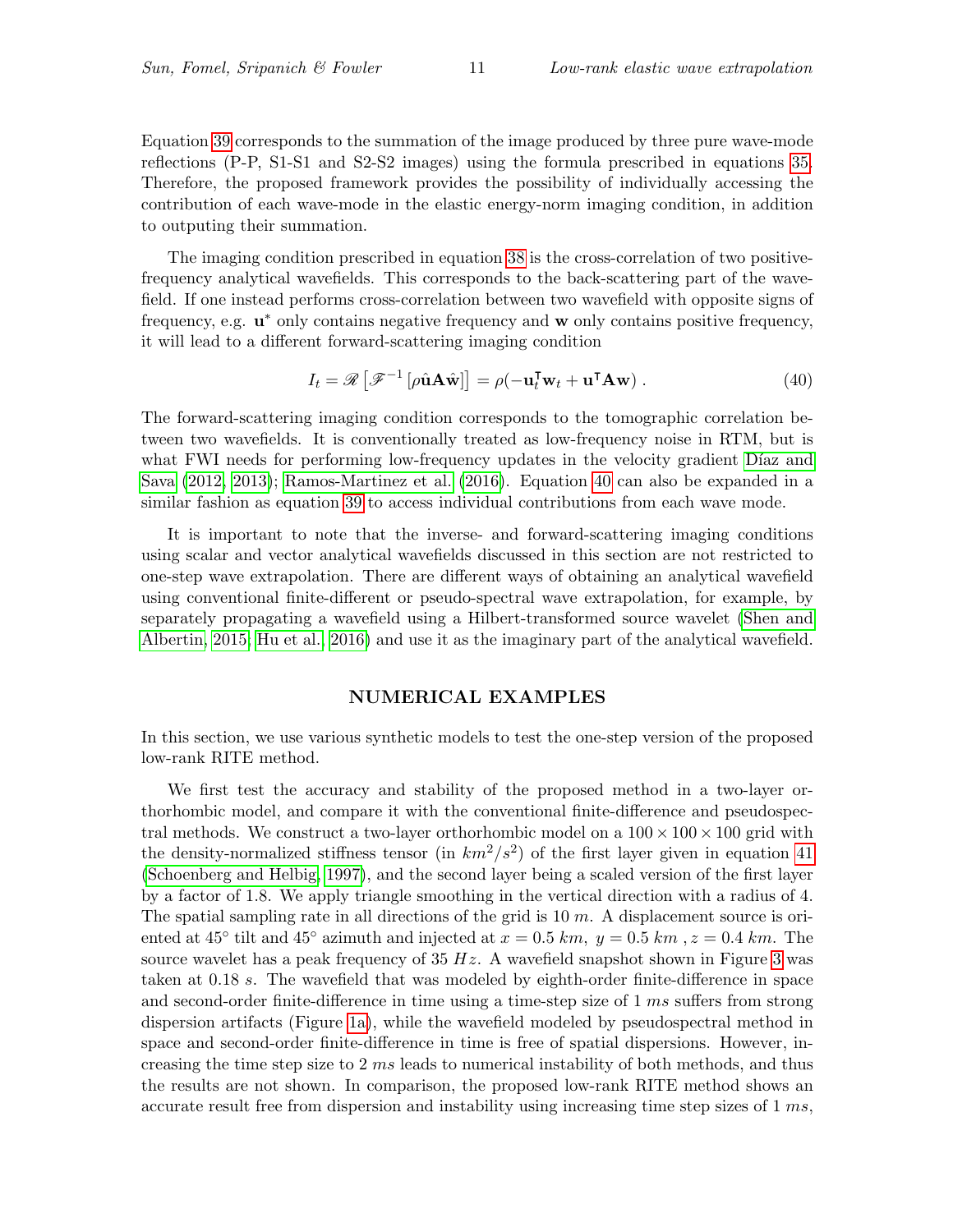Equation [39](#page-9-3) corresponds to the summation of the image produced by three pure wave-mode reflections (P-P, S1-S1 and S2-S2 images) using the formula prescribed in equations [35.](#page-9-4) Therefore, the proposed framework provides the possibility of individually accessing the contribution of each wave-mode in the elastic energy-norm imaging condition, in addition to outputing their summation.

The imaging condition prescribed in equation [38](#page-9-2) is the cross-correlation of two positivefrequency analytical wavefields. This corresponds to the back-scattering part of the wavefield. If one instead performs cross-correlation between two wavefield with opposite signs of frequency, e.g.  $\mathbf{u}^*$  only contains negative frequency and w only contains positive frequency, it will lead to a different forward-scattering imaging condition

<span id="page-10-0"></span>
$$
I_t = \mathscr{R}\left[\mathscr{F}^{-1}\left[\rho \hat{\mathbf{u}} \mathbf{A} \hat{\mathbf{w}}\right]\right] = \rho(-\mathbf{u}_t^{\mathsf{T}} \mathbf{w}_t + \mathbf{u}^{\mathsf{T}} \mathbf{A} \mathbf{w}).\tag{40}
$$

The forward-scattering imaging condition corresponds to the tomographic correlation between two wavefields. It is conventionally treated as low-frequency noise in RTM, but is what FWI needs for performing low-frequency updates in the velocity gradient Díaz and [Sava \(2012,](#page-20-19) [2013\)](#page-20-20); [Ramos-Martinez et al. \(2016\)](#page-21-15). Equation [40](#page-10-0) can also be expanded in a similar fashion as equation [39](#page-9-3) to access individual contributions from each wave mode.

It is important to note that the inverse- and forward-scattering imaging conditions using scalar and vector analytical wavefields discussed in this section are not restricted to one-step wave extrapolation. There are different ways of obtaining an analytical wavefield using conventional finite-different or pseudo-spectral wave extrapolation, for example, by separately propagating a wavefield using a Hilbert-transformed source wavelet [\(Shen and](#page-21-12) [Albertin, 2015;](#page-21-12) [Hu et al., 2016\)](#page-20-14) and use it as the imaginary part of the analytical wavefield.

## NUMERICAL EXAMPLES

In this section, we use various synthetic models to test the one-step version of the proposed low-rank RITE method.

We first test the accuracy and stability of the proposed method in a two-layer orthorhombic model, and compare it with the conventional finite-difference and pseudospectral methods. We construct a two-layer orthorhombic model on a  $100 \times 100 \times 100$  grid with the density-normalized stiffness tensor (in  $km^2/s^2$ ) of the first layer given in equation [41](#page-11-0) [\(Schoenberg and Helbig, 1997\)](#page-21-16), and the second layer being a scaled version of the first layer by a factor of 1.8. We apply triangle smoothing in the vertical direction with a radius of 4. The spatial sampling rate in all directions of the grid is  $10 \, \text{m}$ . A displacement source is oriented at 45° tilt and 45° azimuth and injected at  $x = 0.5$  km,  $y = 0.5$  km,  $z = 0.4$  km. The source wavelet has a peak frequency of [3](#page-13-0)5  $Hz$ . A wavefield snapshot shown in Figure 3 was taken at 0.18 s. The wavefield that was modeled by eighth-order finite-difference in space and second-order finite-difference in time using a time-step size of 1 ms suffers from strong dispersion artifacts (Figure [1a\)](#page-11-1), while the wavefield modeled by pseudospectral method in space and second-order finite-difference in time is free of spatial dispersions. However, increasing the time step size to 2 ms leads to numerical instability of both methods, and thus the results are not shown. In comparison, the proposed low-rank RITE method shows an accurate result free from dispersion and instability using increasing time step sizes of 1 ms,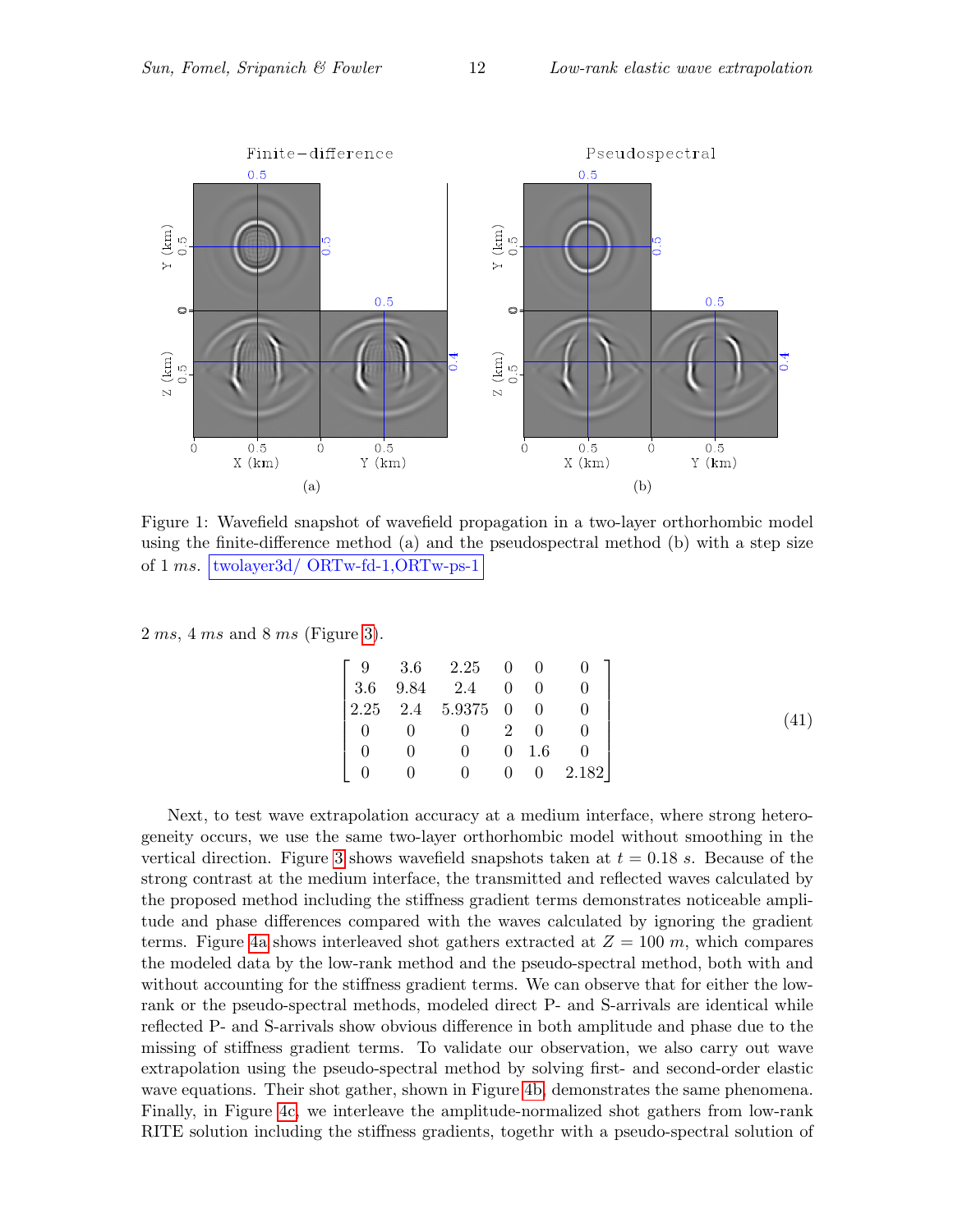<span id="page-11-1"></span>

Figure 1: Wavefield snapshot of wavefield propagation in a two-layer orthorhombic model using the finite-difference method (a) and the pseudospectral method (b) with a step size of 1 ms. twolayer3d/ ORTw-fd-1,ORTw-ps-1

 $2 \, ms$ ,  $4 \, ms$  and  $8 \, ms$  (Figure [3\)](#page-13-0).

<span id="page-11-0"></span>
$$
\begin{bmatrix} 9 & 3.6 & 2.25 & 0 & 0 & 0 \ 3.6 & 9.84 & 2.4 & 0 & 0 & 0 \ 2.25 & 2.4 & 5.9375 & 0 & 0 & 0 \ 0 & 0 & 0 & 2 & 0 & 0 \ 0 & 0 & 0 & 0 & 1.6 & 0 \ 0 & 0 & 0 & 0 & 0 & 2.182 \end{bmatrix}
$$
(41)

Next, to test wave extrapolation accuracy at a medium interface, where strong heterogeneity occurs, we use the same two-layer orthorhombic model without smoothing in the vertical direction. Figure [3](#page-13-0) shows wavefield snapshots taken at  $t = 0.18$  s. Because of the strong contrast at the medium interface, the transmitted and reflected waves calculated by the proposed method including the stiffness gradient terms demonstrates noticeable amplitude and phase differences compared with the waves calculated by ignoring the gradient terms. Figure [4a](#page-14-0) shows interleaved shot gathers extracted at  $Z = 100$  m, which compares the modeled data by the low-rank method and the pseudo-spectral method, both with and without accounting for the stiffness gradient terms. We can observe that for either the lowrank or the pseudo-spectral methods, modeled direct P- and S-arrivals are identical while reflected P- and S-arrivals show obvious difference in both amplitude and phase due to the missing of stiffness gradient terms. To validate our observation, we also carry out wave extrapolation using the pseudo-spectral method by solving first- and second-order elastic wave equations. Their shot gather, shown in Figure [4b,](#page-14-1) demonstrates the same phenomena. Finally, in Figure [4c,](#page-14-2) we interleave the amplitude-normalized shot gathers from low-rank RITE solution including the stiffness gradients, togethr with a pseudo-spectral solution of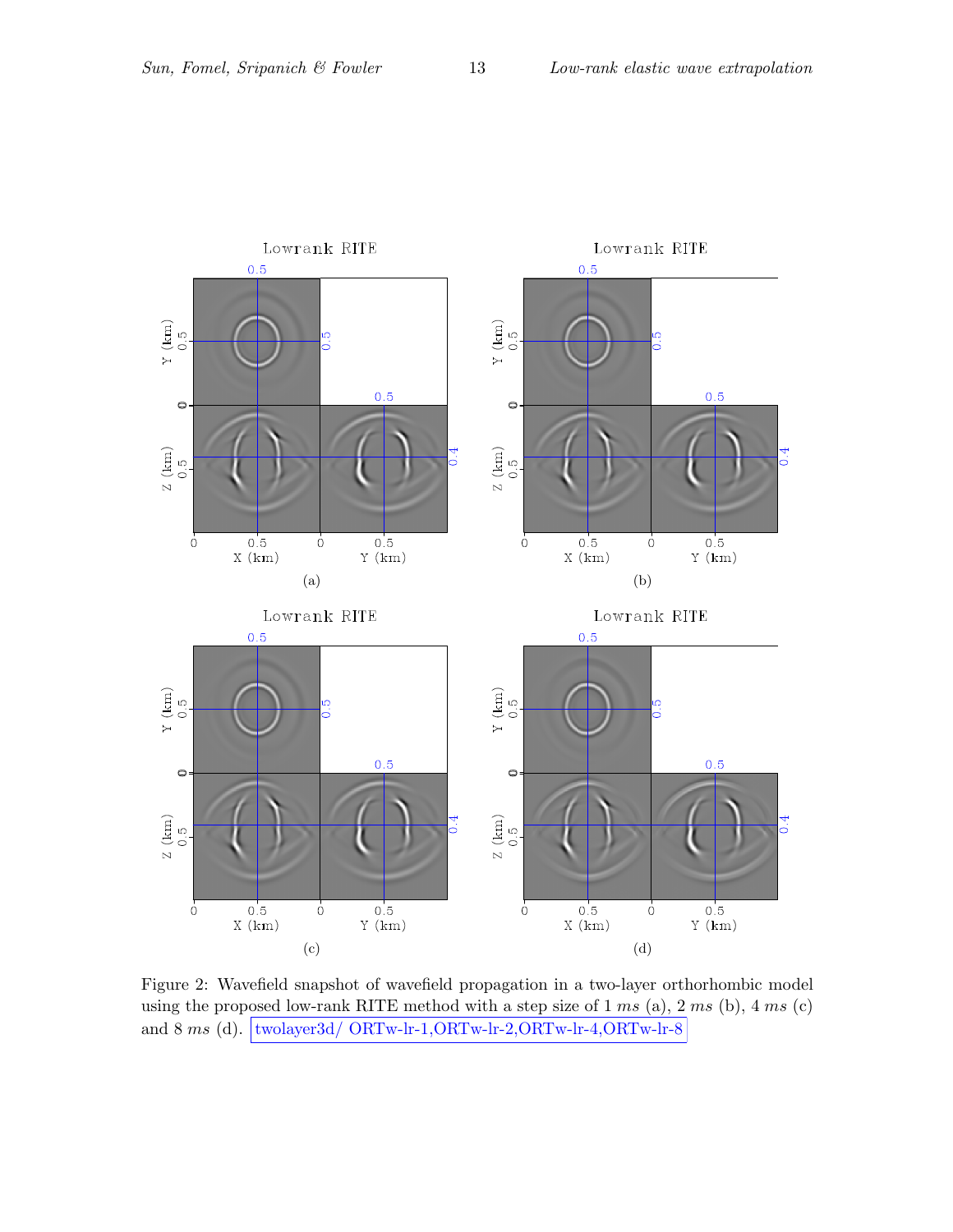

Figure 2: Wavefield snapshot of wavefield propagation in a two-layer orthorhombic model using the proposed low-rank RITE method with a step size of  $1 \ ms$  (a),  $2 \ ms$  (b),  $4 \ ms$  (c) and 8 ms (d). twolayer3d/ ORTw-lr-1,ORTw-lr-2,ORTw-lr-4,ORTw-lr-8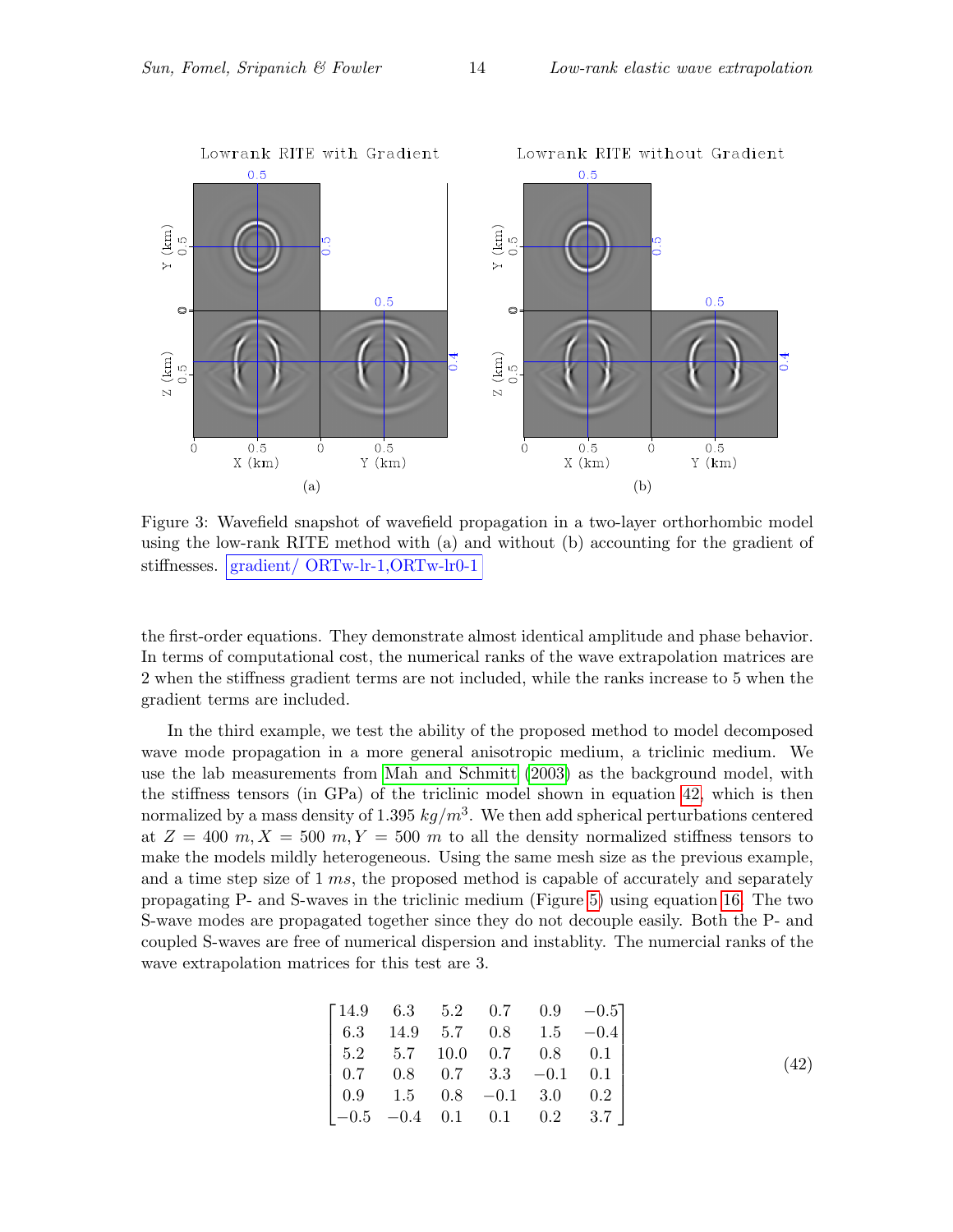

<span id="page-13-0"></span>Figure 3: Wavefield snapshot of wavefield propagation in a two-layer orthorhombic model using the low-rank RITE method with (a) and without (b) accounting for the gradient of stiffnesses. | gradient/ ORTw-lr-1,ORTw-lr0-1

the first-order equations. They demonstrate almost identical amplitude and phase behavior. In terms of computational cost, the numerical ranks of the wave extrapolation matrices are 2 when the stiffness gradient terms are not included, while the ranks increase to 5 when the gradient terms are included.

In the third example, we test the ability of the proposed method to model decomposed wave mode propagation in a more general anisotropic medium, a triclinic medium. We use the lab measurements from [Mah and Schmitt \(2003\)](#page-21-17) as the background model, with the stiffness tensors (in GPa) of the triclinic model shown in equation [42,](#page-13-1) which is then normalized by a mass density of 1.395  $kg/m^3$ . We then add spherical perturbations centered at  $Z = 400$   $m, X = 500$   $m, Y = 500$  m to all the density normalized stiffness tensors to make the models mildly heterogeneous. Using the same mesh size as the previous example, and a time step size of  $1 \, \text{ms}$ , the proposed method is capable of accurately and separately propagating P- and S-waves in the triclinic medium (Figure [5\)](#page-15-0) using equation [16.](#page-4-3) The two S-wave modes are propagated together since they do not decouple easily. Both the P- and coupled S-waves are free of numerical dispersion and instablity. The numercial ranks of the wave extrapolation matrices for this test are 3.

<span id="page-13-1"></span>
$$
\begin{bmatrix} 14.9 & 6.3 & 5.2 & 0.7 & 0.9 & -0.5 \\ 6.3 & 14.9 & 5.7 & 0.8 & 1.5 & -0.4 \\ 5.2 & 5.7 & 10.0 & 0.7 & 0.8 & 0.1 \\ 0.7 & 0.8 & 0.7 & 3.3 & -0.1 & 0.1 \\ 0.9 & 1.5 & 0.8 & -0.1 & 3.0 & 0.2 \\ -0.5 & -0.4 & 0.1 & 0.1 & 0.2 & 3.7 \end{bmatrix}
$$
(42)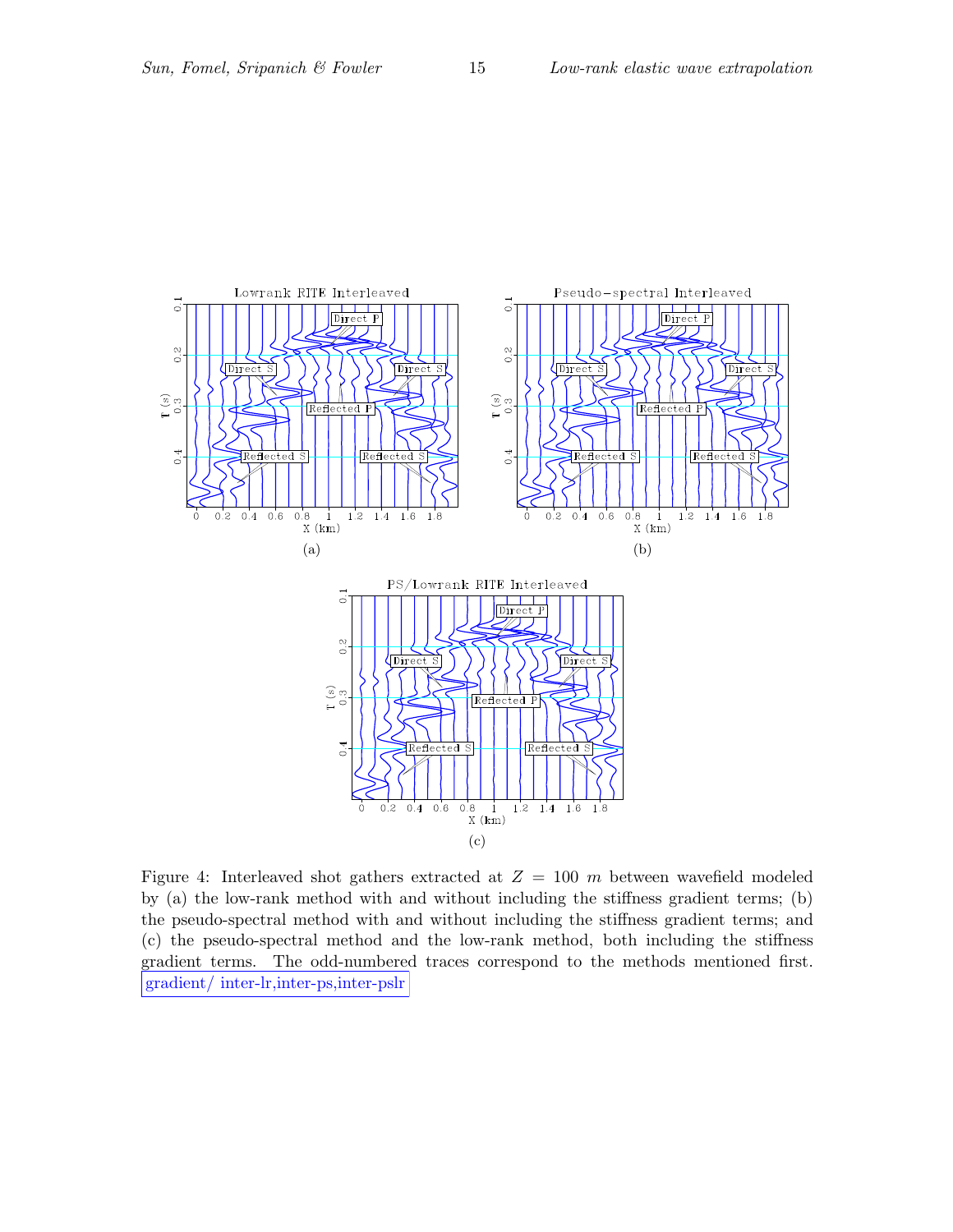<span id="page-14-1"></span><span id="page-14-0"></span>

<span id="page-14-2"></span>Figure 4: Interleaved shot gathers extracted at  $Z = 100$  m between wavefield modeled by (a) the low-rank method with and without including the stiffness gradient terms; (b) the pseudo-spectral method with and without including the stiffness gradient terms; and (c) the pseudo-spectral method and the low-rank method, both including the stiffness gradient terms. The odd-numbered traces correspond to the methods mentioned first. gradient/ inter-lr,inter-ps,inter-pslr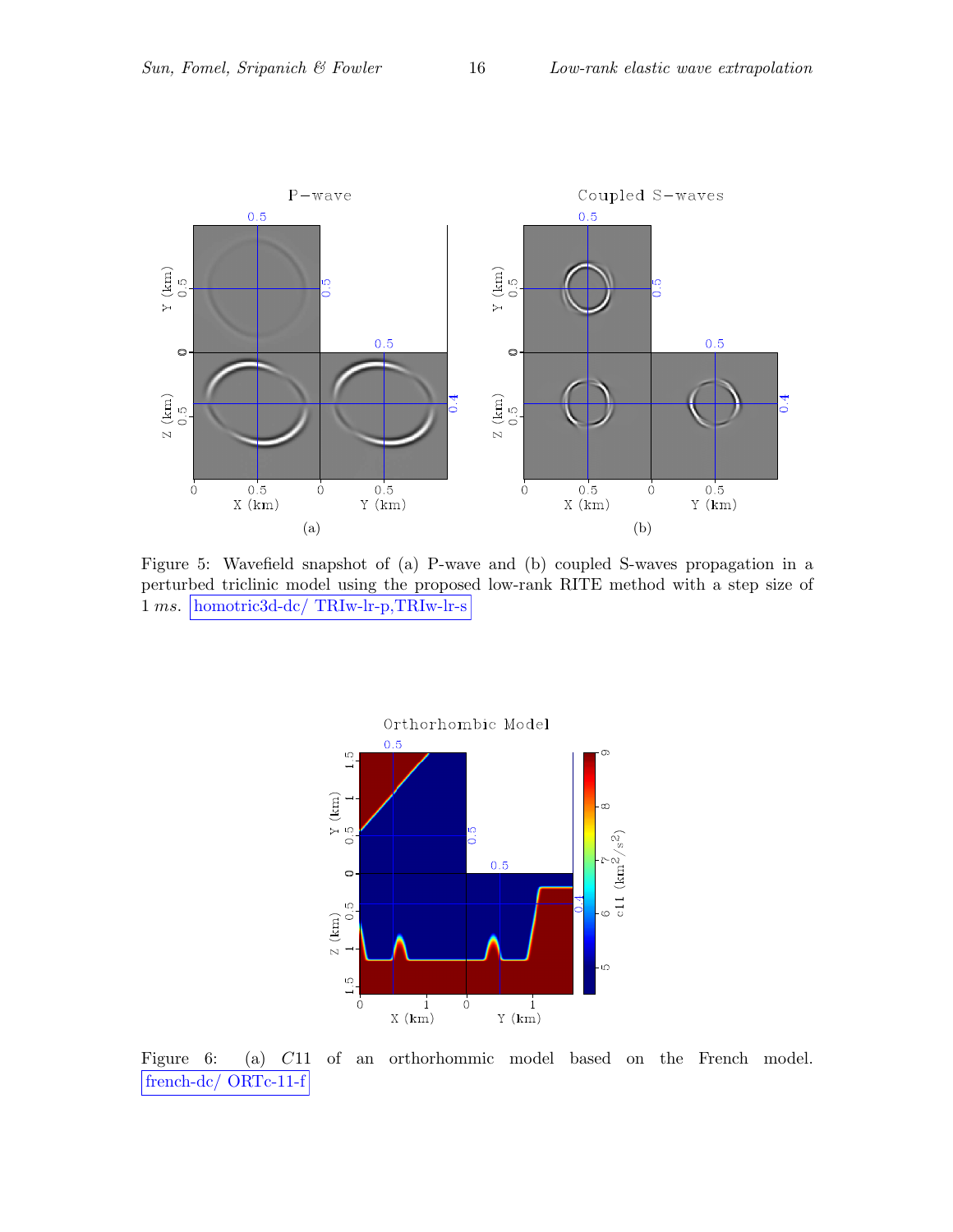

<span id="page-15-0"></span>Figure 5: Wavefield snapshot of (a) P-wave and (b) coupled S-waves propagation in a perturbed triclinic model using the proposed low-rank RITE method with a step size of 1 ms. homotric3d-dc/ TRIw-lr-p,TRIw-lr-s



<span id="page-15-1"></span>Figure 6: (a) C11 of an orthorhommic model based on the French model. french-dc/ ORTc-11-f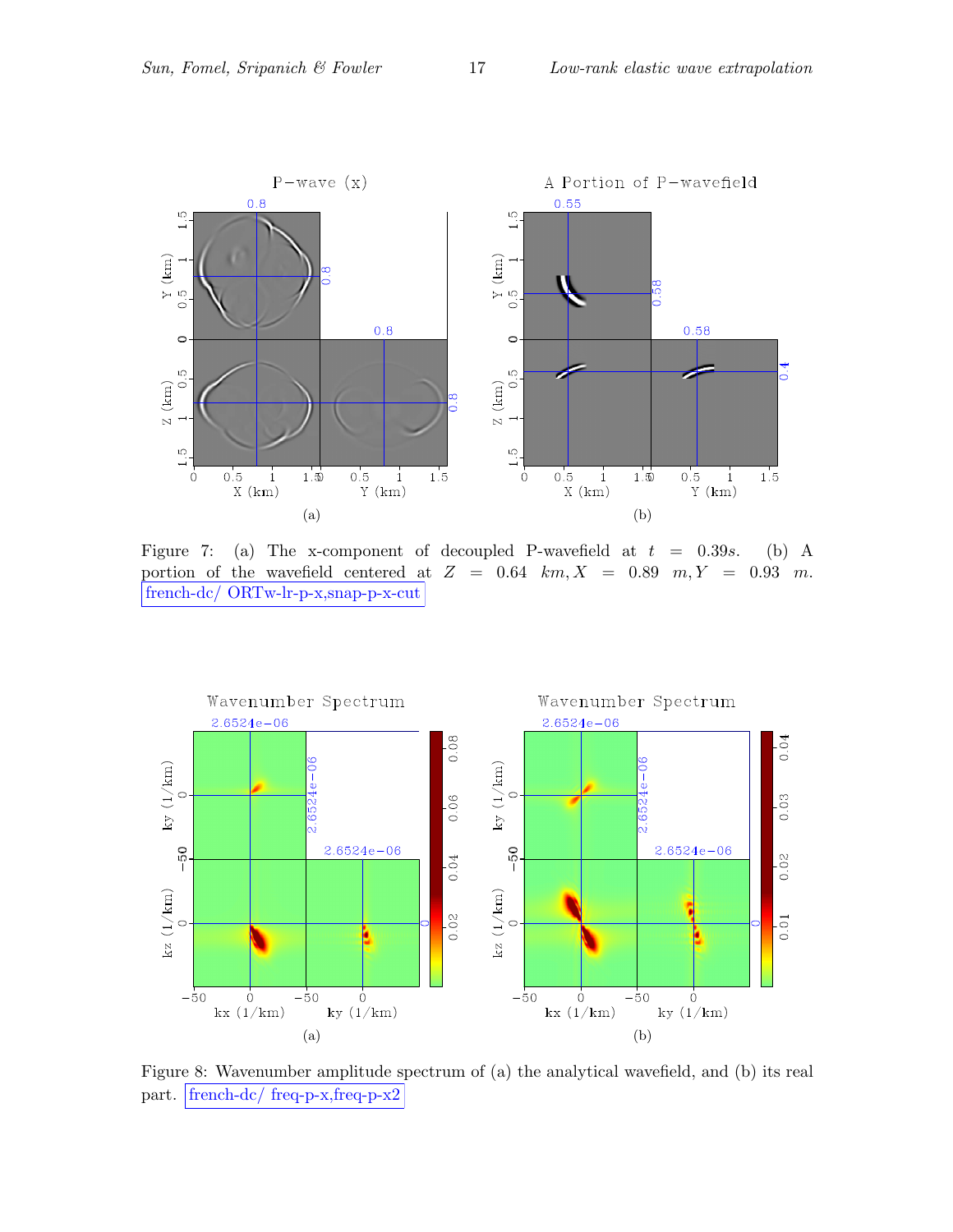<span id="page-16-0"></span>

<span id="page-16-1"></span>Figure 7: (a) The x-component of decoupled P-wavefield at  $t = 0.39s$ . (b) A portion of the wavefield centered at  $Z = 0.64$  km,  $X = 0.89$  m,  $Y = 0.93$  m. french-dc/ ORTw-lr-p-x,snap-p-x-cut

<span id="page-16-2"></span>

<span id="page-16-3"></span>Figure 8: Wavenumber amplitude spectrum of (a) the analytical wavefield, and (b) its real part. french-dc/ freq-p-x,freq-p-x2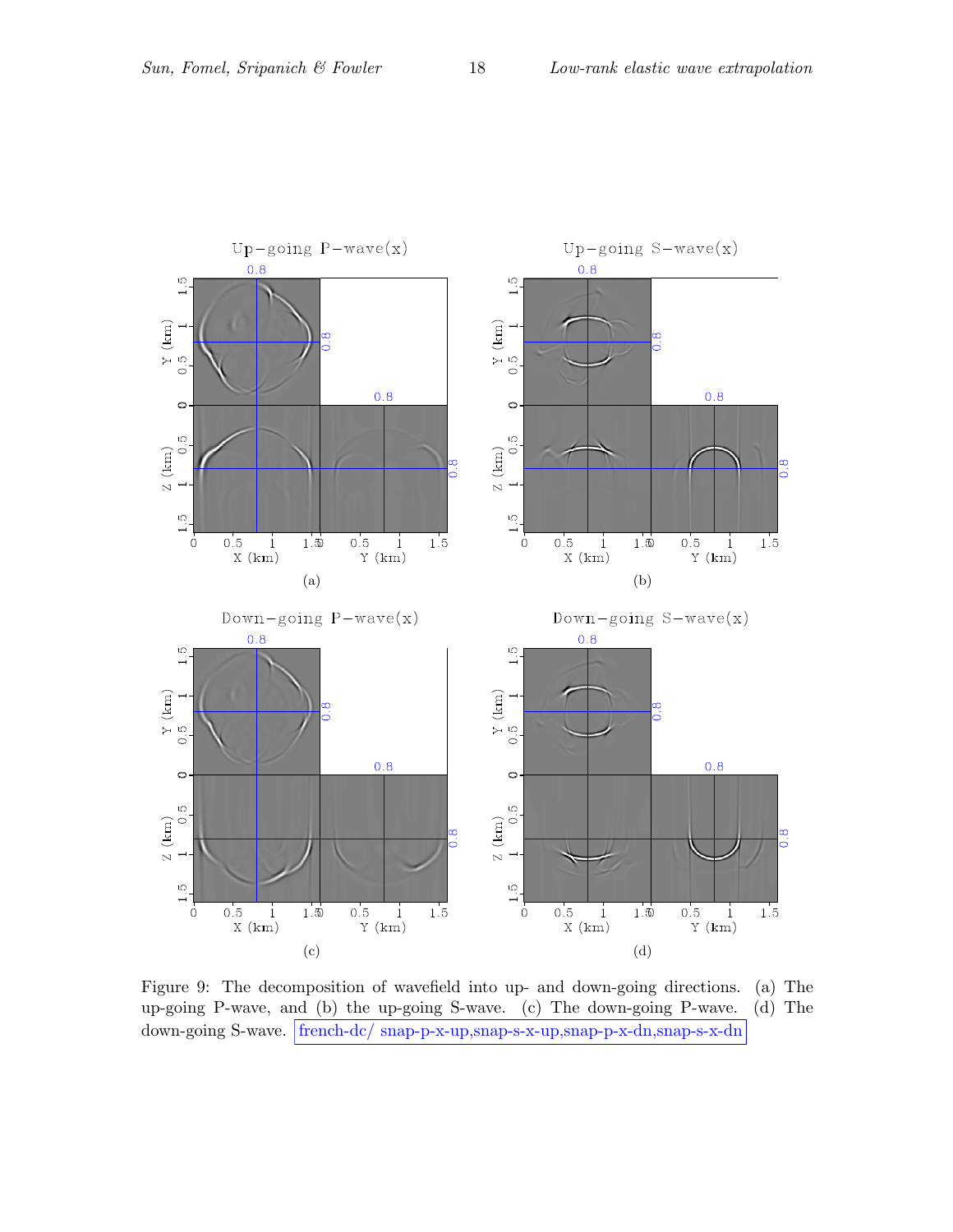

<span id="page-17-1"></span><span id="page-17-0"></span>Figure 9: The decomposition of wavefield into up- and down-going directions. (a) The up-going P-wave, and (b) the up-going S-wave. (c) The down-going P-wave. (d) The down-going S-wave. french-dc/ snap-p-x-up,snap-s-x-up,snap-p-x-dn,snap-s-x-dn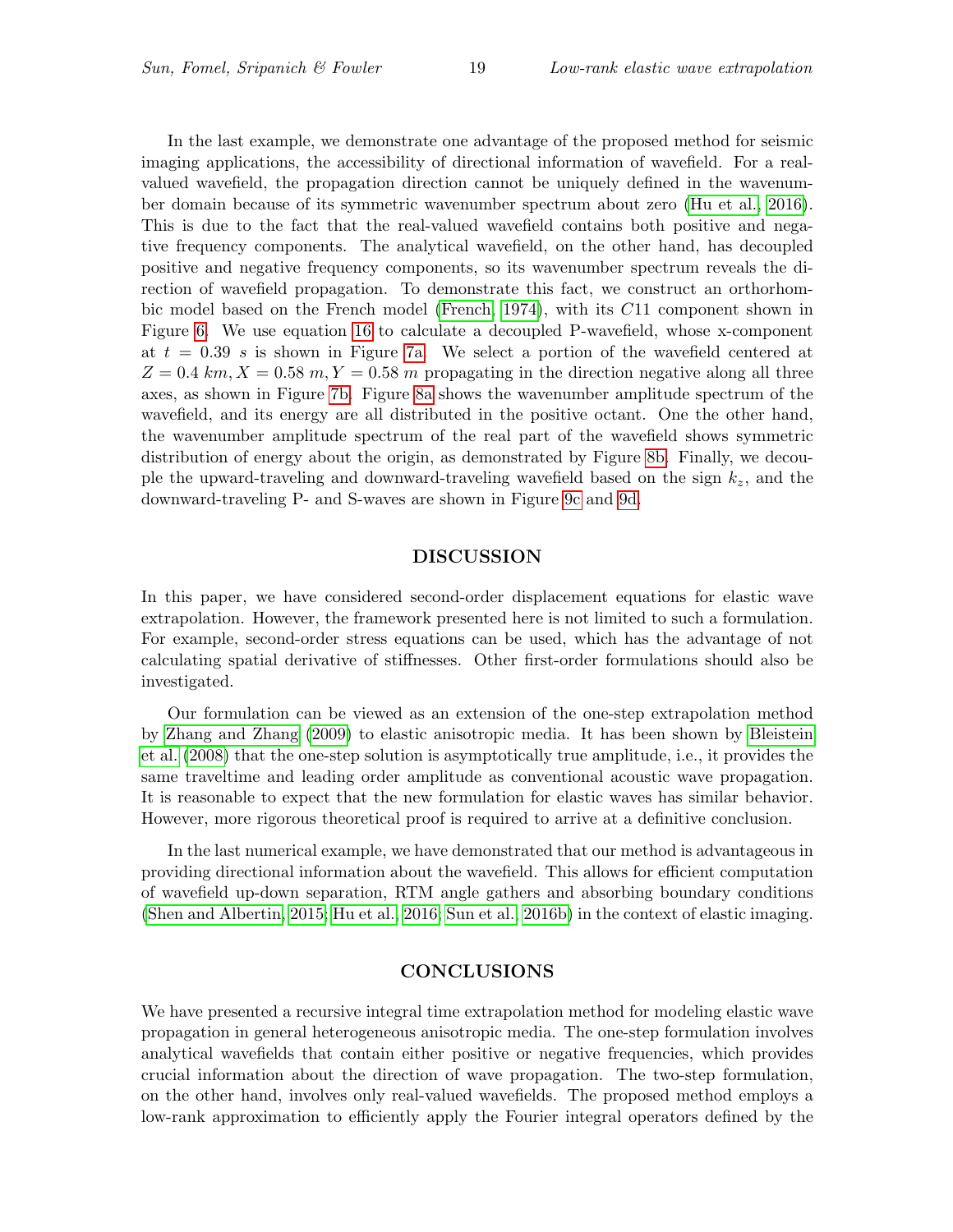In the last example, we demonstrate one advantage of the proposed method for seismic imaging applications, the accessibility of directional information of wavefield. For a realvalued wavefield, the propagation direction cannot be uniquely defined in the wavenumber domain because of its symmetric wavenumber spectrum about zero [\(Hu et al., 2016\)](#page-20-14). This is due to the fact that the real-valued wavefield contains both positive and negative frequency components. The analytical wavefield, on the other hand, has decoupled positive and negative frequency components, so its wavenumber spectrum reveals the direction of wavefield propagation. To demonstrate this fact, we construct an orthorhombic model based on the French model [\(French, 1974\)](#page-20-21), with its C11 component shown in Figure [6.](#page-15-1) We use equation [16](#page-4-3) to calculate a decoupled P-wavefield, whose x-component at  $t = 0.39$  s is shown in Figure [7a.](#page-16-0) We select a portion of the wavefield centered at  $Z = 0.4 \ km, X = 0.58 \ m, Y = 0.58 \ m$  propagating in the direction negative along all three axes, as shown in Figure [7b.](#page-16-1) Figure [8a](#page-16-2) shows the wavenumber amplitude spectrum of the wavefield, and its energy are all distributed in the positive octant. One the other hand, the wavenumber amplitude spectrum of the real part of the wavefield shows symmetric distribution of energy about the origin, as demonstrated by Figure [8b.](#page-16-3) Finally, we decouple the upward-traveling and downward-traveling wavefield based on the sign  $k_z$ , and the downward-traveling P- and S-waves are shown in Figure [9c](#page-17-0) and [9d.](#page-17-1)

#### DISCUSSION

In this paper, we have considered second-order displacement equations for elastic wave extrapolation. However, the framework presented here is not limited to such a formulation. For example, second-order stress equations can be used, which has the advantage of not calculating spatial derivative of stiffnesses. Other first-order formulations should also be investigated.

Our formulation can be viewed as an extension of the one-step extrapolation method by [Zhang and Zhang \(2009\)](#page-22-0) to elastic anisotropic media. It has been shown by [Bleistein](#page-19-11) [et al. \(2008\)](#page-19-11) that the one-step solution is asymptotically true amplitude, i.e., it provides the same traveltime and leading order amplitude as conventional acoustic wave propagation. It is reasonable to expect that the new formulation for elastic waves has similar behavior. However, more rigorous theoretical proof is required to arrive at a definitive conclusion.

In the last numerical example, we have demonstrated that our method is advantageous in providing directional information about the wavefield. This allows for efficient computation of wavefield up-down separation, RTM angle gathers and absorbing boundary conditions [\(Shen and Albertin, 2015;](#page-21-12) [Hu et al., 2016;](#page-20-14) [Sun et al., 2016b\)](#page-21-18) in the context of elastic imaging.

## CONCLUSIONS

We have presented a recursive integral time extrapolation method for modeling elastic wave propagation in general heterogeneous anisotropic media. The one-step formulation involves analytical wavefields that contain either positive or negative frequencies, which provides crucial information about the direction of wave propagation. The two-step formulation, on the other hand, involves only real-valued wavefields. The proposed method employs a low-rank approximation to efficiently apply the Fourier integral operators defined by the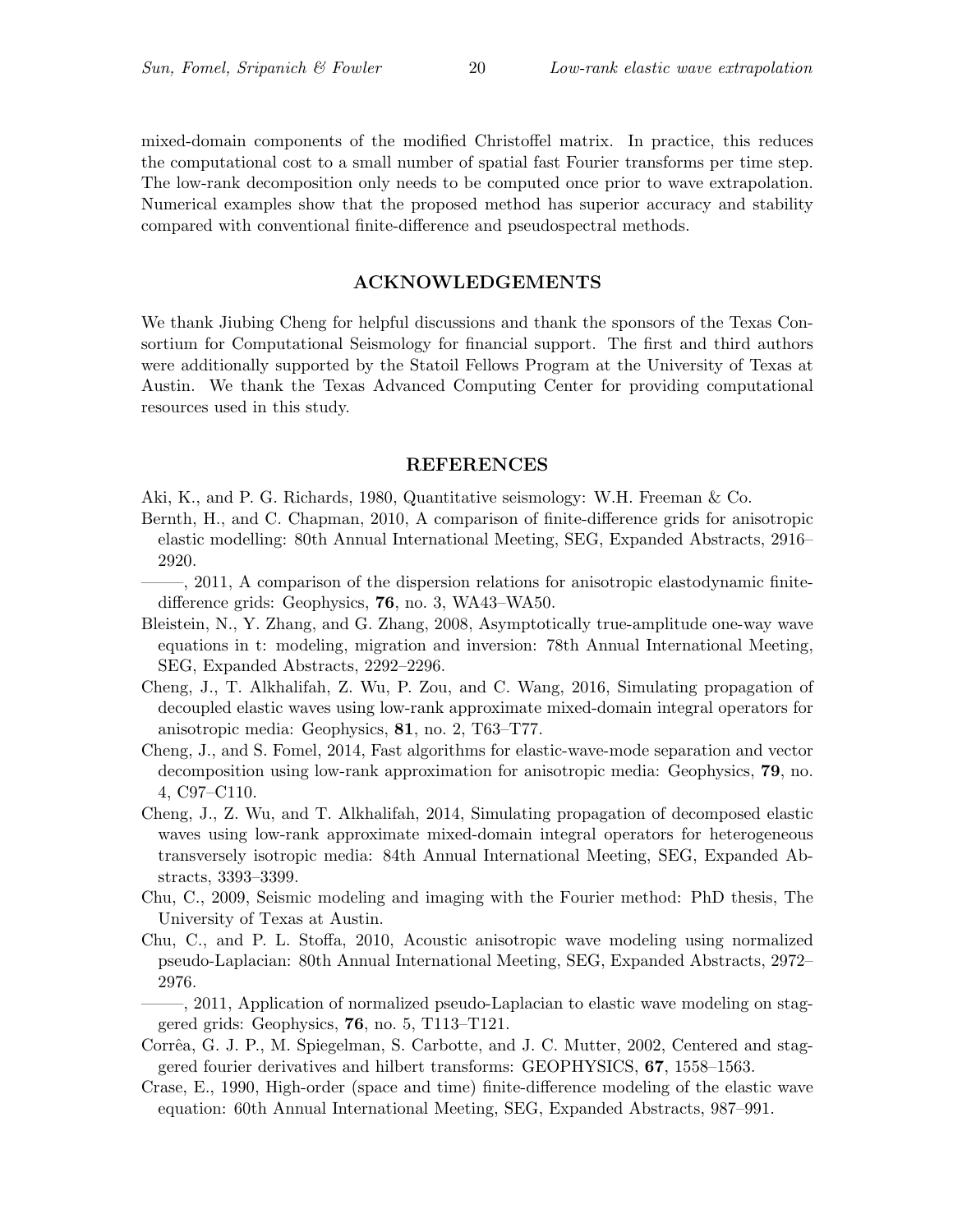mixed-domain components of the modified Christoffel matrix. In practice, this reduces the computational cost to a small number of spatial fast Fourier transforms per time step. The low-rank decomposition only needs to be computed once prior to wave extrapolation. Numerical examples show that the proposed method has superior accuracy and stability compared with conventional finite-difference and pseudospectral methods.

## ACKNOWLEDGEMENTS

We thank Jiubing Cheng for helpful discussions and thank the sponsors of the Texas Consortium for Computational Seismology for financial support. The first and third authors were additionally supported by the Statoil Fellows Program at the University of Texas at Austin. We thank the Texas Advanced Computing Center for providing computational resources used in this study.

## REFERENCES

<span id="page-19-7"></span>Aki, K., and P. G. Richards, 1980, Quantitative seismology: W.H. Freeman & Co.

- <span id="page-19-0"></span>Bernth, H., and C. Chapman, 2010, A comparison of finite-difference grids for anisotropic elastic modelling: 80th Annual International Meeting, SEG, Expanded Abstracts, 2916– 2920.
- <span id="page-19-1"></span>——–, 2011, A comparison of the dispersion relations for anisotropic elastodynamic finitedifference grids: Geophysics, 76, no. 3, WA43–WA50.
- <span id="page-19-11"></span>Bleistein, N., Y. Zhang, and G. Zhang, 2008, Asymptotically true-amplitude one-way wave equations in t: modeling, migration and inversion: 78th Annual International Meeting, SEG, Expanded Abstracts, 2292–2296.
- <span id="page-19-10"></span>Cheng, J., T. Alkhalifah, Z. Wu, P. Zou, and C. Wang, 2016, Simulating propagation of decoupled elastic waves using low-rank approximate mixed-domain integral operators for anisotropic media: Geophysics, 81, no. 2, T63–T77.
- <span id="page-19-8"></span>Cheng, J., and S. Fomel, 2014, Fast algorithms for elastic-wave-mode separation and vector decomposition using low-rank approximation for anisotropic media: Geophysics, 79, no. 4, C97–C110.
- <span id="page-19-9"></span>Cheng, J., Z. Wu, and T. Alkhalifah, 2014, Simulating propagation of decomposed elastic waves using low-rank approximate mixed-domain integral operators for heterogeneous transversely isotropic media: 84th Annual International Meeting, SEG, Expanded Abstracts, 3393–3399.
- <span id="page-19-3"></span>Chu, C., 2009, Seismic modeling and imaging with the Fourier method: PhD thesis, The University of Texas at Austin.
- <span id="page-19-5"></span>Chu, C., and P. L. Stoffa, 2010, Acoustic anisotropic wave modeling using normalized pseudo-Laplacian: 80th Annual International Meeting, SEG, Expanded Abstracts, 2972– 2976.
- <span id="page-19-6"></span>——–, 2011, Application of normalized pseudo-Laplacian to elastic wave modeling on staggered grids: Geophysics,  $76$ , no. 5, T113-T121.
- <span id="page-19-4"></span>Corrêa, G. J. P., M. Spiegelman, S. Carbotte, and J. C. Mutter, 2002, Centered and staggered fourier derivatives and hilbert transforms: GEOPHYSICS, 67, 1558–1563.
- <span id="page-19-2"></span>Crase, E., 1990, High-order (space and time) finite-difference modeling of the elastic wave equation: 60th Annual International Meeting, SEG, Expanded Abstracts, 987–991.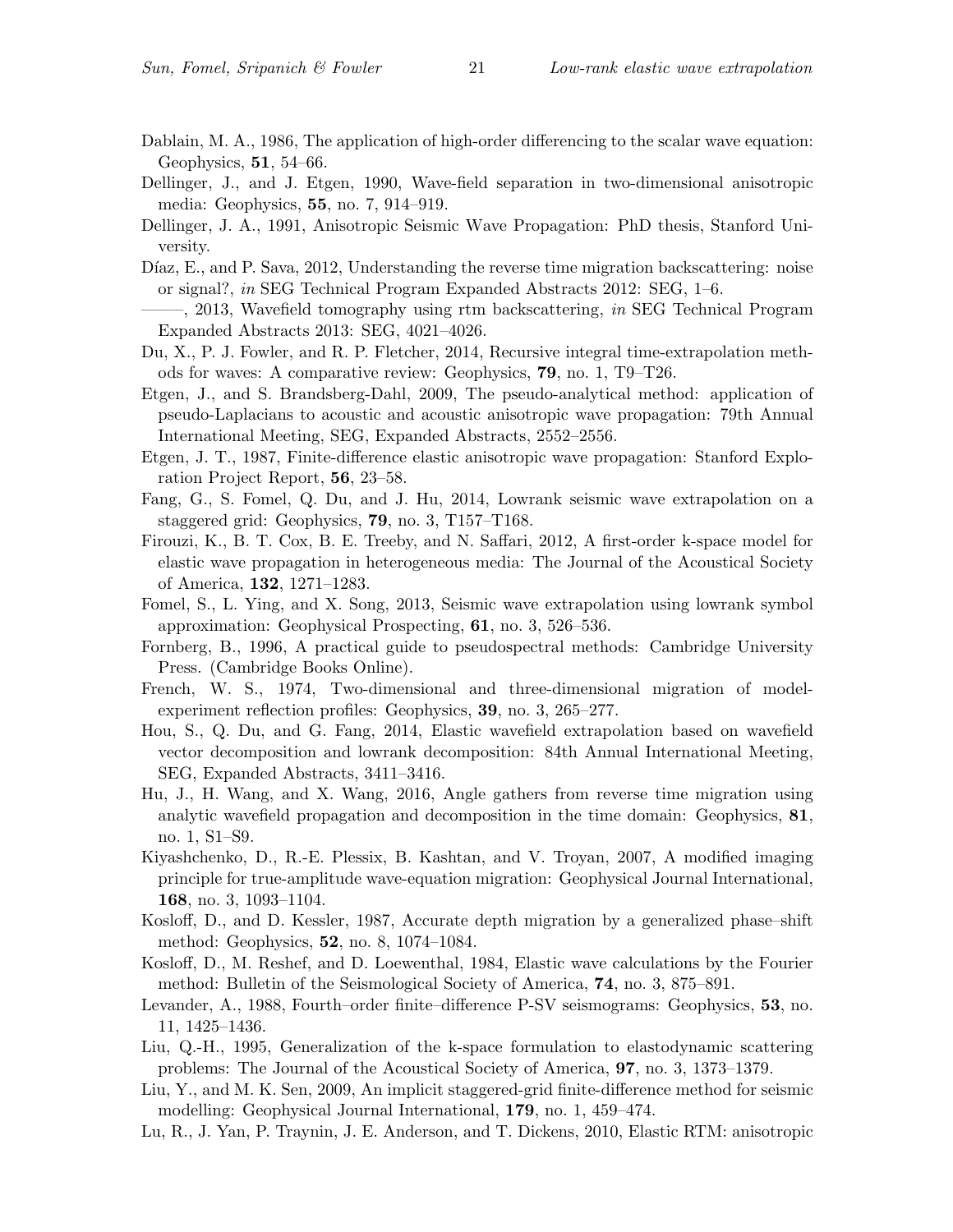- <span id="page-20-5"></span>Dablain, M. A., 1986, The application of high-order differencing to the scalar wave equation: Geophysics, 51, 54–66.
- <span id="page-20-12"></span>Dellinger, J., and J. Etgen, 1990, Wave-field separation in two-dimensional anisotropic media: Geophysics, 55, no. 7, 914–919.
- <span id="page-20-16"></span>Dellinger, J. A., 1991, Anisotropic Seismic Wave Propagation: PhD thesis, Stanford University.
- <span id="page-20-19"></span>Díaz, E., and P. Sava, 2012, Understanding the reverse time migration backscattering: noise or signal?, in SEG Technical Program Expanded Abstracts 2012: SEG, 1–6.
- <span id="page-20-20"></span>——–, 2013, Wavefield tomography using rtm backscattering, in SEG Technical Program Expanded Abstracts 2013: SEG, 4021–4026.
- <span id="page-20-10"></span>Du, X., P. J. Fowler, and R. P. Fletcher, 2014, Recursive integral time-extrapolation methods for waves: A comparative review: Geophysics, 79, no. 1, T9–T26.
- <span id="page-20-7"></span>Etgen, J., and S. Brandsberg-Dahl, 2009, The pseudo-analytical method: application of pseudo-Laplacians to acoustic and acoustic anisotropic wave propagation: 79th Annual International Meeting, SEG, Expanded Abstracts, 2552–2556.
- <span id="page-20-1"></span>Etgen, J. T., 1987, Finite-difference elastic anisotropic wave propagation: Stanford Exploration Project Report, 56, 23–58.
- <span id="page-20-9"></span>Fang, G., S. Fomel, Q. Du, and J. Hu, 2014, Lowrank seismic wave extrapolation on a staggered grid: Geophysics, 79, no. 3, T157–T168.
- <span id="page-20-11"></span>Firouzi, K., B. T. Cox, B. E. Treeby, and N. Saffari, 2012, A first-order k-space model for elastic wave propagation in heterogeneous media: The Journal of the Acoustical Society of America, 132, 1271–1283.
- <span id="page-20-8"></span>Fomel, S., L. Ying, and X. Song, 2013, Seismic wave extrapolation using lowrank symbol approximation: Geophysical Prospecting, 61, no. 3, 526–536.
- <span id="page-20-4"></span>Fornberg, B., 1996, A practical guide to pseudospectral methods: Cambridge University Press. (Cambridge Books Online).
- <span id="page-20-21"></span>French, W. S., 1974, Two-dimensional and three-dimensional migration of modelexperiment reflection profiles: Geophysics, 39, no. 3, 265–277.
- <span id="page-20-13"></span>Hou, S., Q. Du, and G. Fang, 2014, Elastic wavefield extrapolation based on wavefield vector decomposition and lowrank decomposition: 84th Annual International Meeting, SEG, Expanded Abstracts, 3411–3416.
- <span id="page-20-14"></span>Hu, J., H. Wang, and X. Wang, 2016, Angle gathers from reverse time migration using analytic wavefield propagation and decomposition in the time domain: Geophysics, 81, no. 1, S1–S9.
- <span id="page-20-18"></span>Kiyashchenko, D., R.-E. Plessix, B. Kashtan, and V. Troyan, 2007, A modified imaging principle for true-amplitude wave-equation migration: Geophysical Journal International, 168, no. 3, 1093–1104.
- <span id="page-20-15"></span>Kosloff, D., and D. Kessler, 1987, Accurate depth migration by a generalized phase–shift method: Geophysics, 52, no. 8, 1074–1084.
- <span id="page-20-3"></span>Kosloff, D., M. Reshef, and D. Loewenthal, 1984, Elastic wave calculations by the Fourier method: Bulletin of the Seismological Society of America, 74, no. 3, 875–891.
- <span id="page-20-2"></span>Levander, A., 1988, Fourth–order finite–difference P-SV seismograms: Geophysics, 53, no. 11, 1425–1436.
- <span id="page-20-17"></span>Liu, Q.-H., 1995, Generalization of the k-space formulation to elastodynamic scattering problems: The Journal of the Acoustical Society of America, 97, no. 3, 1373–1379.
- <span id="page-20-6"></span>Liu, Y., and M. K. Sen, 2009, An implicit staggered-grid finite-difference method for seismic modelling: Geophysical Journal International, 179, no. 1, 459–474.
- <span id="page-20-0"></span>Lu, R., J. Yan, P. Traynin, J. E. Anderson, and T. Dickens, 2010, Elastic RTM: anisotropic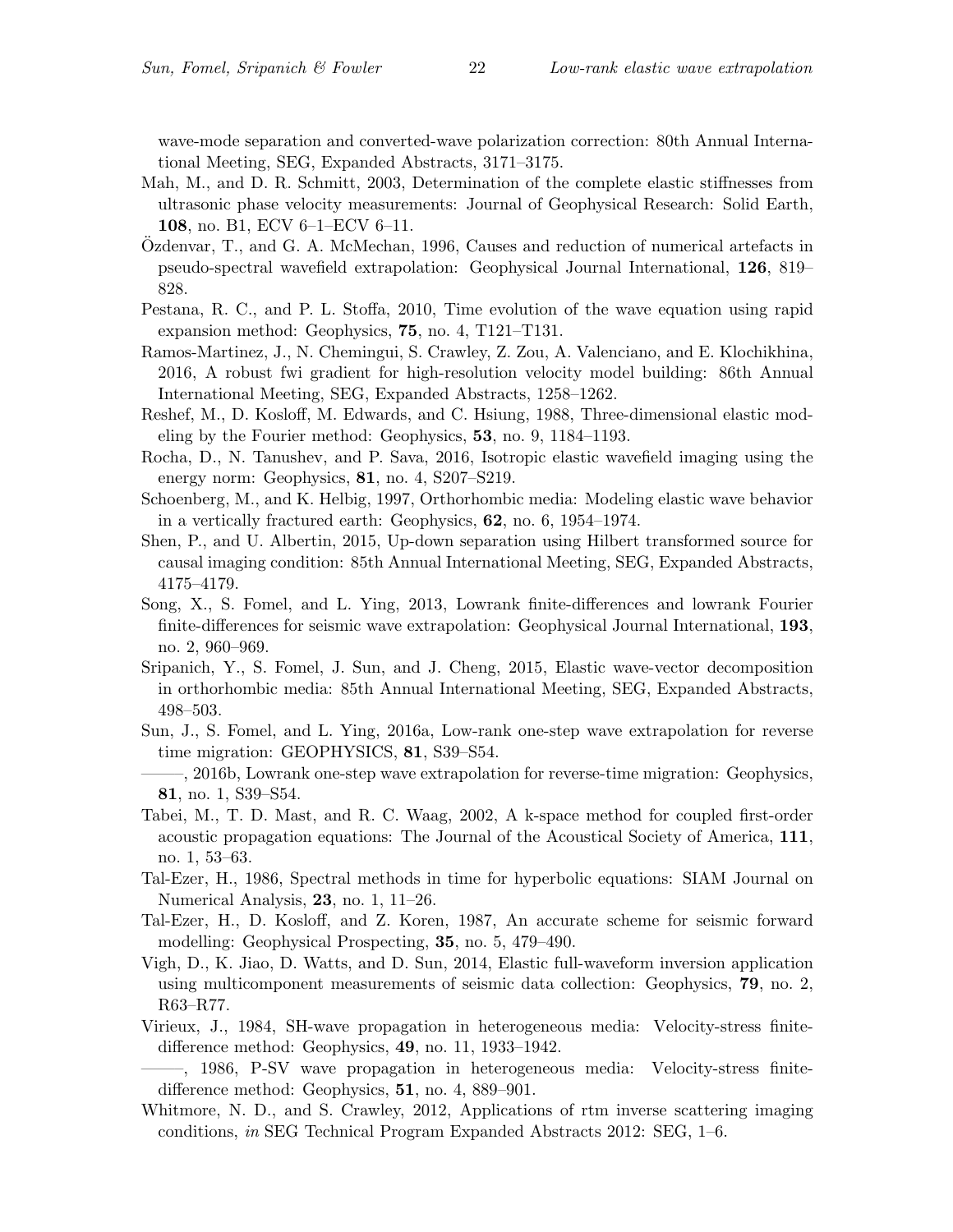wave-mode separation and converted-wave polarization correction: 80th Annual International Meeting, SEG, Expanded Abstracts, 3171–3175.

- <span id="page-21-17"></span>Mah, M., and D. R. Schmitt, 2003, Determination of the complete elastic stiffnesses from ultrasonic phase velocity measurements: Journal of Geophysical Research: Solid Earth, 108, no. B1, ECV 6–1–ECV 6–11.
- <span id="page-21-4"></span>Ozdenvar, T., and G. A. McMechan, 1996, Causes and reduction of numerical artefacts in ¨ pseudo-spectral wavefield extrapolation: Geophysical Journal International, 126, 819– 828.
- <span id="page-21-8"></span>Pestana, R. C., and P. L. Stoffa, 2010, Time evolution of the wave equation using rapid expansion method: Geophysics, 75, no. 4, T121–T131.
- <span id="page-21-15"></span>Ramos-Martinez, J., N. Chemingui, S. Crawley, Z. Zou, A. Valenciano, and E. Klochikhina, 2016, A robust fwi gradient for high-resolution velocity model building: 86th Annual International Meeting, SEG, Expanded Abstracts, 1258–1262.
- <span id="page-21-3"></span>Reshef, M., D. Kosloff, M. Edwards, and C. Hsiung, 1988, Three-dimensional elastic modeling by the Fourier method: Geophysics, 53, no. 9, 1184–1193.
- <span id="page-21-14"></span>Rocha, D., N. Tanushev, and P. Sava, 2016, Isotropic elastic wavefield imaging using the energy norm: Geophysics, 81, no. 4, S207–S219.
- <span id="page-21-16"></span>Schoenberg, M., and K. Helbig, 1997, Orthorhombic media: Modeling elastic wave behavior in a vertically fractured earth: Geophysics, 62, no. 6, 1954–1974.
- <span id="page-21-12"></span>Shen, P., and U. Albertin, 2015, Up-down separation using Hilbert transformed source for causal imaging condition: 85th Annual International Meeting, SEG, Expanded Abstracts, 4175–4179.
- <span id="page-21-9"></span>Song, X., S. Fomel, and L. Ying, 2013, Lowrank finite-differences and lowrank Fourier finite-differences for seismic wave extrapolation: Geophysical Journal International, 193, no. 2, 960–969.
- <span id="page-21-11"></span>Sripanich, Y., S. Fomel, J. Sun, and J. Cheng, 2015, Elastic wave-vector decomposition in orthorhombic media: 85th Annual International Meeting, SEG, Expanded Abstracts, 498–503.
- <span id="page-21-10"></span>Sun, J., S. Fomel, and L. Ying, 2016a, Low-rank one-step wave extrapolation for reverse time migration: GEOPHYSICS, 81, S39–S54.
- <span id="page-21-18"></span>——–, 2016b, Lowrank one-step wave extrapolation for reverse-time migration: Geophysics, 81, no. 1, S39–S54.
- <span id="page-21-7"></span>Tabei, M., T. D. Mast, and R. C. Waag, 2002, A k-space method for coupled first-order acoustic propagation equations: The Journal of the Acoustical Society of America, 111, no. 1, 53–63.
- <span id="page-21-5"></span>Tal-Ezer, H., 1986, Spectral methods in time for hyperbolic equations: SIAM Journal on Numerical Analysis, 23, no. 1, 11–26.
- <span id="page-21-6"></span>Tal-Ezer, H., D. Kosloff, and Z. Koren, 1987, An accurate scheme for seismic forward modelling: Geophysical Prospecting, 35, no. 5, 479–490.
- <span id="page-21-0"></span>Vigh, D., K. Jiao, D. Watts, and D. Sun, 2014, Elastic full-waveform inversion application using multicomponent measurements of seismic data collection: Geophysics, 79, no. 2, R63–R77.
- <span id="page-21-1"></span>Virieux, J., 1984, SH-wave propagation in heterogeneous media: Velocity-stress finitedifference method: Geophysics, 49, no. 11, 1933–1942.
- <span id="page-21-2"></span>——–, 1986, P-SV wave propagation in heterogeneous media: Velocity-stress finitedifference method: Geophysics, 51, no. 4, 889–901.
- <span id="page-21-13"></span>Whitmore, N. D., and S. Crawley, 2012, Applications of rtm inverse scattering imaging conditions, in SEG Technical Program Expanded Abstracts 2012: SEG, 1–6.